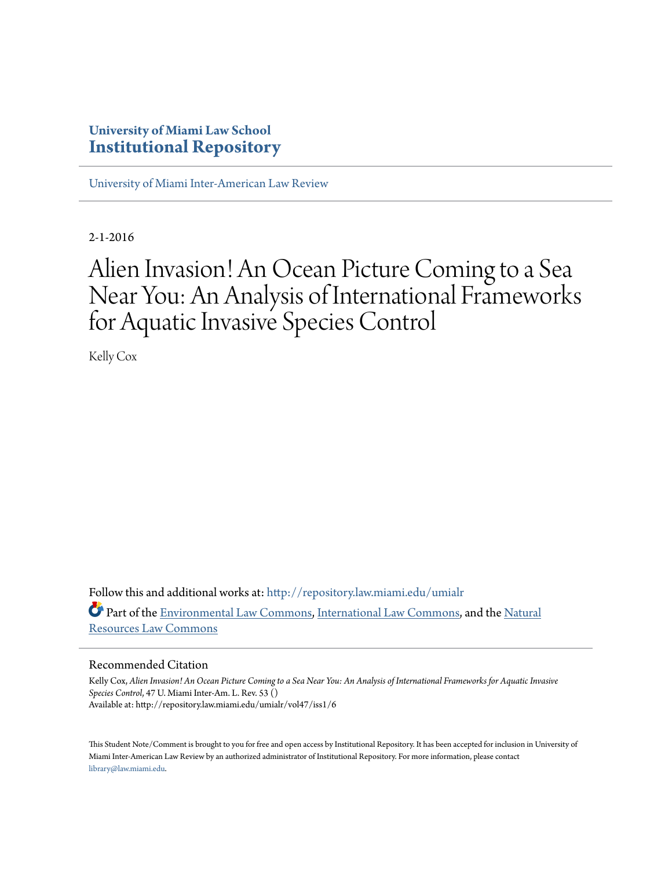## **University of Miami Law School [Institutional Repository](http://repository.law.miami.edu?utm_source=repository.law.miami.edu%2Fumialr%2Fvol47%2Fiss1%2F6&utm_medium=PDF&utm_campaign=PDFCoverPages)**

[University of Miami Inter-American Law Review](http://repository.law.miami.edu/umialr?utm_source=repository.law.miami.edu%2Fumialr%2Fvol47%2Fiss1%2F6&utm_medium=PDF&utm_campaign=PDFCoverPages)

2-1-2016

# Alien Invasion! An Ocean Picture Coming to a Sea Near You: An Analysis of International Frameworks for Aquatic Invasive Species Control

Kelly Cox

Follow this and additional works at: [http://repository.law.miami.edu/umialr](http://repository.law.miami.edu/umialr?utm_source=repository.law.miami.edu%2Fumialr%2Fvol47%2Fiss1%2F6&utm_medium=PDF&utm_campaign=PDFCoverPages) Part of the [Environmental Law Commons](http://network.bepress.com/hgg/discipline/599?utm_source=repository.law.miami.edu%2Fumialr%2Fvol47%2Fiss1%2F6&utm_medium=PDF&utm_campaign=PDFCoverPages), [International Law Commons,](http://network.bepress.com/hgg/discipline/609?utm_source=repository.law.miami.edu%2Fumialr%2Fvol47%2Fiss1%2F6&utm_medium=PDF&utm_campaign=PDFCoverPages) and the [Natural](http://network.bepress.com/hgg/discipline/863?utm_source=repository.law.miami.edu%2Fumialr%2Fvol47%2Fiss1%2F6&utm_medium=PDF&utm_campaign=PDFCoverPages) [Resources Law Commons](http://network.bepress.com/hgg/discipline/863?utm_source=repository.law.miami.edu%2Fumialr%2Fvol47%2Fiss1%2F6&utm_medium=PDF&utm_campaign=PDFCoverPages)

#### Recommended Citation

Kelly Cox, *Alien Invasion! An Ocean Picture Coming to a Sea Near You: An Analysis of International Frameworks for Aquatic Invasive Species Control*, 47 U. Miami Inter-Am. L. Rev. 53 () Available at: http://repository.law.miami.edu/umialr/vol47/iss1/6

This Student Note/Comment is brought to you for free and open access by Institutional Repository. It has been accepted for inclusion in University of Miami Inter-American Law Review by an authorized administrator of Institutional Repository. For more information, please contact [library@law.miami.edu](mailto:library@law.miami.edu).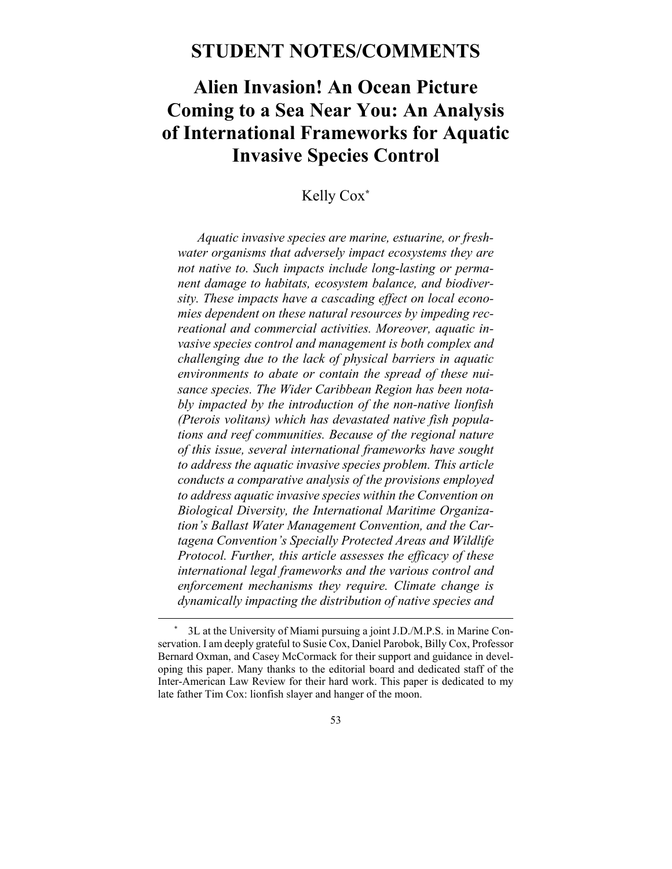## **STUDENT NOTES/COMMENTS**

## **Alien Invasion! An Ocean Picture Coming to a Sea Near You: An Analysis of International Frameworks for Aquatic Invasive Species Control**

## Kelly Cox**\***

*Aquatic invasive species are marine, estuarine, or freshwater organisms that adversely impact ecosystems they are not native to. Such impacts include long-lasting or permanent damage to habitats, ecosystem balance, and biodiversity. These impacts have a cascading effect on local economies dependent on these natural resources by impeding recreational and commercial activities. Moreover, aquatic invasive species control and management is both complex and challenging due to the lack of physical barriers in aquatic environments to abate or contain the spread of these nuisance species. The Wider Caribbean Region has been notably impacted by the introduction of the non-native lionfish (Pterois volitans) which has devastated native fish populations and reef communities. Because of the regional nature of this issue, several international frameworks have sought to address the aquatic invasive species problem. This article conducts a comparative analysis of the provisions employed to address aquatic invasive species within the Convention on Biological Diversity, the International Maritime Organization's Ballast Water Management Convention, and the Cartagena Convention's Specially Protected Areas and Wildlife Protocol. Further, this article assesses the efficacy of these international legal frameworks and the various control and enforcement mechanisms they require. Climate change is dynamically impacting the distribution of native species and* 

 <sup>\* 3</sup>L at the University of Miami pursuing a joint J.D./M.P.S. in Marine Conservation. I am deeply grateful to Susie Cox, Daniel Parobok, Billy Cox, Professor Bernard Oxman, and Casey McCormack for their support and guidance in developing this paper. Many thanks to the editorial board and dedicated staff of the Inter-American Law Review for their hard work. This paper is dedicated to my late father Tim Cox: lionfish slayer and hanger of the moon.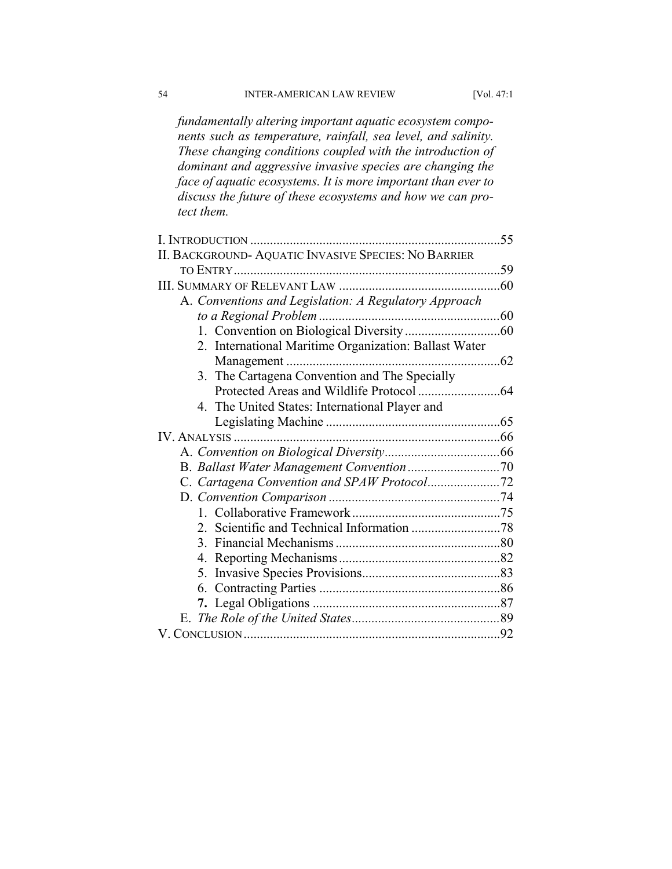*fundamentally altering important aquatic ecosystem components such as temperature, rainfall, sea level, and salinity. These changing conditions coupled with the introduction of dominant and aggressive invasive species are changing the face of aquatic ecosystems. It is more important than ever to discuss the future of these ecosystems and how we can protect them.* 

|                                                       | 55            |
|-------------------------------------------------------|---------------|
| II. BACKGROUND- AQUATIC INVASIVE SPECIES: NO BARRIER  |               |
|                                                       | 59            |
|                                                       | .60           |
| A. Conventions and Legislation: A Regulatory Approach |               |
| to a Regional Problem.                                | 60            |
|                                                       |               |
| 2. International Maritime Organization: Ballast Water |               |
|                                                       | $\ldots$ . 62 |
| 3. The Cartagena Convention and The Specially         |               |
|                                                       |               |
| 4. The United States: International Player and        |               |
|                                                       |               |
|                                                       |               |
|                                                       |               |
|                                                       |               |
|                                                       |               |
|                                                       |               |
|                                                       |               |
|                                                       |               |
|                                                       |               |
|                                                       |               |
|                                                       |               |
|                                                       |               |
|                                                       |               |
|                                                       |               |
|                                                       |               |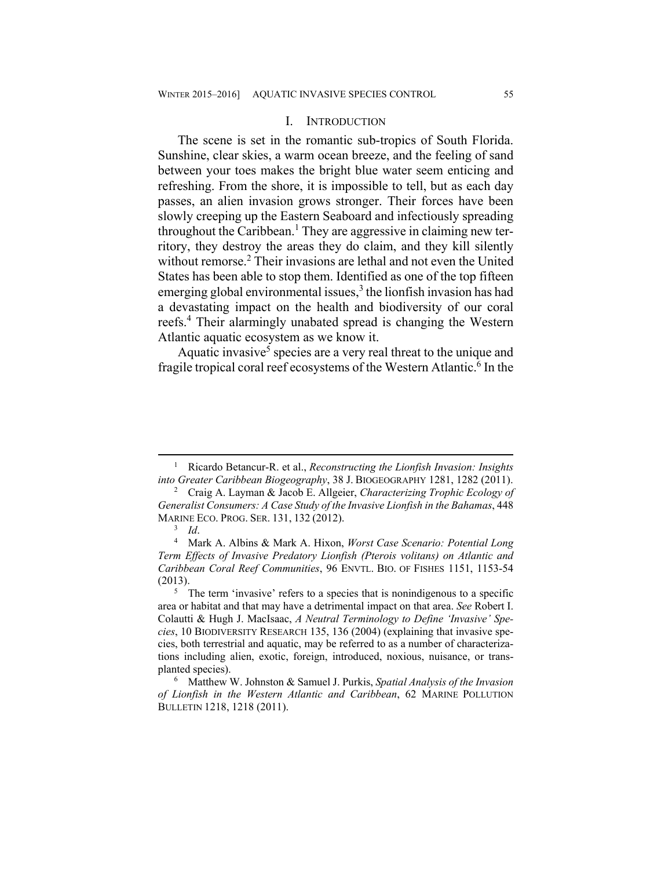#### I. INTRODUCTION

The scene is set in the romantic sub-tropics of South Florida. Sunshine, clear skies, a warm ocean breeze, and the feeling of sand between your toes makes the bright blue water seem enticing and refreshing. From the shore, it is impossible to tell, but as each day passes, an alien invasion grows stronger. Their forces have been slowly creeping up the Eastern Seaboard and infectiously spreading throughout the Caribbean.<sup>1</sup> They are aggressive in claiming new territory, they destroy the areas they do claim, and they kill silently without remorse.<sup>2</sup> Their invasions are lethal and not even the United States has been able to stop them. Identified as one of the top fifteen emerging global environmental issues, $3$  the lionfish invasion has had a devastating impact on the health and biodiversity of our coral reefs.4 Their alarmingly unabated spread is changing the Western Atlantic aquatic ecosystem as we know it.

Aquatic invasive<sup>5</sup> species are a very real threat to the unique and fragile tropical coral reef ecosystems of the Western Atlantic.<sup>6</sup> In the

 $\frac{1}{1}$  Ricardo Betancur-R. et al., *Reconstructing the Lionfish Invasion: Insights into Greater Caribbean Biogeography*, 38 J. BIOGEOGRAPHY 1281, 1282 (2011). 2

Craig A. Layman & Jacob E. Allgeier, *Characterizing Trophic Ecology of Generalist Consumers: A Case Study of the Invasive Lionfish in the Bahamas*, 448 MARINE ECO. PROG. SER. 131, <sup>132</sup> (2012). 3

 $3$  *Id.* 

Mark A. Albins & Mark A. Hixon, *Worst Case Scenario: Potential Long Term Effects of Invasive Predatory Lionfish (Pterois volitans) on Atlantic and Caribbean Coral Reef Communities*, 96 ENVTL. BIO. OF FISHES 1151, 1153-54  $(2013).$ 

<sup>&</sup>lt;sup>5</sup> The term 'invasive' refers to a species that is nonindigenous to a specific area or habitat and that may have a detrimental impact on that area. *See* Robert I. Colautti & Hugh J. MacIsaac, *A Neutral Terminology to Define 'Invasive' Species*, 10 BIODIVERSITY RESEARCH 135, 136 (2004) (explaining that invasive species, both terrestrial and aquatic, may be referred to as a number of characterizations including alien, exotic, foreign, introduced, noxious, nuisance, or transplanted species).

Matthew W. Johnston & Samuel J. Purkis, *Spatial Analysis of the Invasion of Lionfish in the Western Atlantic and Caribbean*, 62 MARINE POLLUTION BULLETIN 1218, 1218 (2011).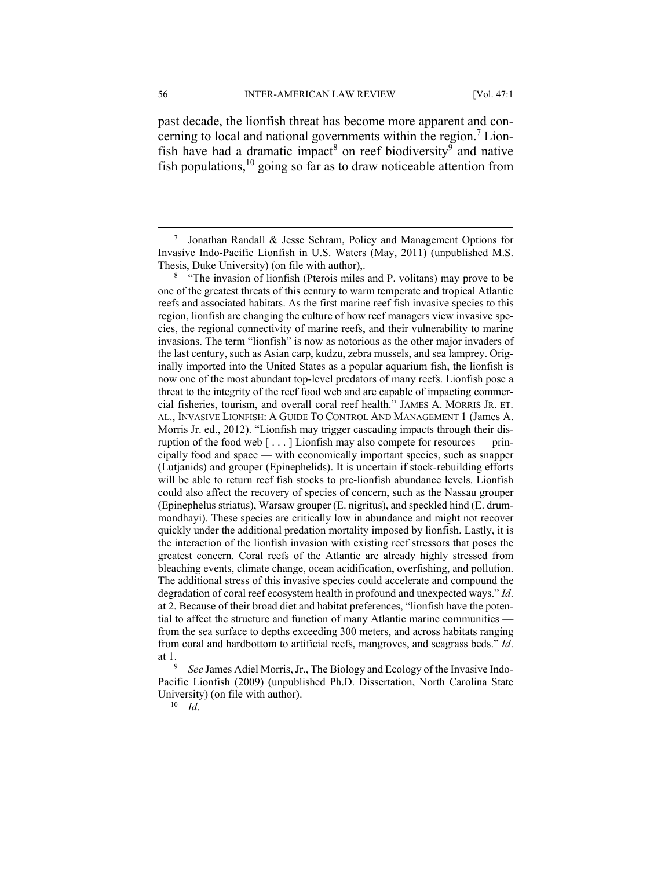past decade, the lionfish threat has become more apparent and concerning to local and national governments within the region.<sup>7</sup> Lionfish have had a dramatic impact<sup>8</sup> on reef biodiversity<sup>9</sup> and native fish populations,  $10$  going so far as to draw noticeable attention from

<sup>8</sup> "The invasion of lionfish (Pterois miles and P. volitans) may prove to be one of the greatest threats of this century to warm temperate and tropical Atlantic reefs and associated habitats. As the first marine reef fish invasive species to this region, lionfish are changing the culture of how reef managers view invasive species, the regional connectivity of marine reefs, and their vulnerability to marine invasions. The term "lionfish" is now as notorious as the other major invaders of the last century, such as Asian carp, kudzu, zebra mussels, and sea lamprey. Originally imported into the United States as a popular aquarium fish, the lionfish is now one of the most abundant top-level predators of many reefs. Lionfish pose a threat to the integrity of the reef food web and are capable of impacting commercial fisheries, tourism, and overall coral reef health." JAMES A. MORRIS JR. ET. AL., INVASIVE LIONFISH: A GUIDE TO CONTROL AND MANAGEMENT 1 (James A. Morris Jr. ed., 2012). "Lionfish may trigger cascading impacts through their disruption of the food web [ . . . ] Lionfish may also compete for resources — principally food and space — with economically important species, such as snapper (Lutjanids) and grouper (Epinephelids). It is uncertain if stock-rebuilding efforts will be able to return reef fish stocks to pre-lionfish abundance levels. Lionfish could also affect the recovery of species of concern, such as the Nassau grouper (Epinephelus striatus), Warsaw grouper (E. nigritus), and speckled hind (E. drummondhayi). These species are critically low in abundance and might not recover quickly under the additional predation mortality imposed by lionfish. Lastly, it is the interaction of the lionfish invasion with existing reef stressors that poses the greatest concern. Coral reefs of the Atlantic are already highly stressed from bleaching events, climate change, ocean acidification, overfishing, and pollution. The additional stress of this invasive species could accelerate and compound the degradation of coral reef ecosystem health in profound and unexpected ways." *Id*. at 2. Because of their broad diet and habitat preferences, "lionfish have the potential to affect the structure and function of many Atlantic marine communities from the sea surface to depths exceeding 300 meters, and across habitats ranging from coral and hardbottom to artificial reefs, mangroves, and seagrass beds." *Id*. at 1.

 *See* James Adiel Morris, Jr., The Biology and Ecology of the Invasive Indo-Pacific Lionfish (2009) (unpublished Ph.D. Dissertation, North Carolina State University) (on file with author). 10 *Id*.

 $\overline{7}$ <sup>7</sup> Jonathan Randall & Jesse Schram, Policy and Management Options for Invasive Indo-Pacific Lionfish in U.S. Waters (May, 2011) (unpublished M.S. Thesis, Duke University) (on file with author),.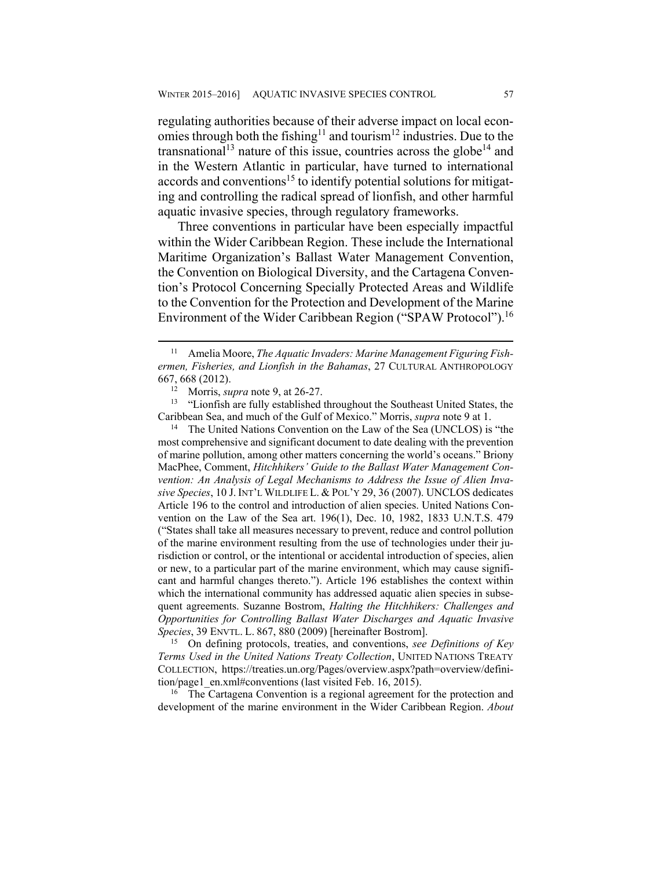regulating authorities because of their adverse impact on local economies through both the fishing<sup>11</sup> and tourism<sup>12</sup> industries. Due to the transnational<sup>13</sup> nature of this issue, countries across the globe<sup>14</sup> and in the Western Atlantic in particular, have turned to international accords and conventions<sup>15</sup> to identify potential solutions for mitigating and controlling the radical spread of lionfish, and other harmful aquatic invasive species, through regulatory frameworks.

Three conventions in particular have been especially impactful within the Wider Caribbean Region. These include the International Maritime Organization's Ballast Water Management Convention, the Convention on Biological Diversity, and the Cartagena Convention's Protocol Concerning Specially Protected Areas and Wildlife to the Convention for the Protection and Development of the Marine Environment of the Wider Caribbean Region ("SPAW Protocol").<sup>16</sup>

Caribbean Sea, and much of the Gulf of Mexico." Morris, *supra* note 9 at 1. 14 The United Nations Convention on the Law of the Sea (UNCLOS) is "the

most comprehensive and significant document to date dealing with the prevention of marine pollution, among other matters concerning the world's oceans." Briony MacPhee, Comment, *Hitchhikers' Guide to the Ballast Water Management Convention: An Analysis of Legal Mechanisms to Address the Issue of Alien Invasive Species*, 10 J. INT'L WILDLIFE L. & POL'Y 29, 36 (2007). UNCLOS dedicates Article 196 to the control and introduction of alien species. United Nations Convention on the Law of the Sea art. 196(1), Dec. 10, 1982, 1833 U.N.T.S. 479 ("States shall take all measures necessary to prevent, reduce and control pollution of the marine environment resulting from the use of technologies under their jurisdiction or control, or the intentional or accidental introduction of species, alien or new, to a particular part of the marine environment, which may cause significant and harmful changes thereto."). Article 196 establishes the context within which the international community has addressed aquatic alien species in subsequent agreements. Suzanne Bostrom, *Halting the Hitchhikers: Challenges and Opportunities for Controlling Ballast Water Discharges and Aquatic Invasive Species*, 39 ENVTL. L. 867, 880 (2009) [hereinafter Bostrom]. 15 On defining protocols, treaties, and conventions, *see Definitions of Key* 

*Terms Used in the United Nations Treaty Collection*, UNITED NATIONS TREATY COLLECTION, https://treaties.un.org/Pages/overview.aspx?path=overview/definition/page1\_en.xml#conventions (last visited Feb. 16, 2015). 16 The Cartagena Convention is a regional agreement for the protection and

development of the marine environment in the Wider Caribbean Region. *About* 

<sup>&</sup>lt;sup>11</sup> Amelia Moore, *The Aquatic Invaders: Marine Management Figuring Fishermen, Fisheries, and Lionfish in the Bahamas*, 27 CULTURAL ANTHROPOLOGY 667, 668 (2012). 12 Morris, *supra* note 9, at 26-27. 13 "Lionfish are fully established throughout the Southeast United States, the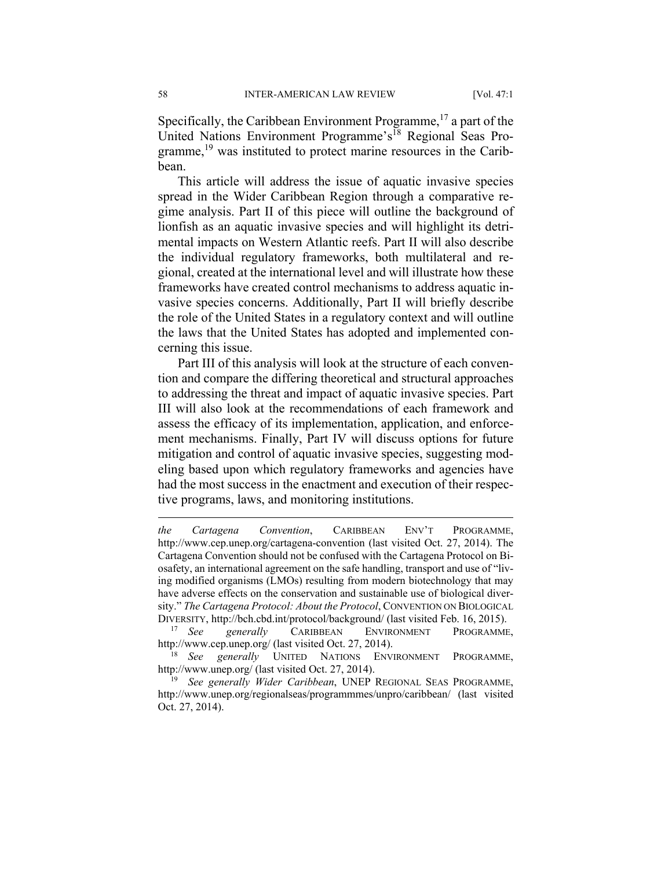Specifically, the Caribbean Environment Programme,  $^{17}$  a part of the United Nations Environment Programme's<sup>18</sup> Regional Seas Programme,<sup>19</sup> was instituted to protect marine resources in the Caribbean.

This article will address the issue of aquatic invasive species spread in the Wider Caribbean Region through a comparative regime analysis. Part II of this piece will outline the background of lionfish as an aquatic invasive species and will highlight its detrimental impacts on Western Atlantic reefs. Part II will also describe the individual regulatory frameworks, both multilateral and regional, created at the international level and will illustrate how these frameworks have created control mechanisms to address aquatic invasive species concerns. Additionally, Part II will briefly describe the role of the United States in a regulatory context and will outline the laws that the United States has adopted and implemented concerning this issue.

Part III of this analysis will look at the structure of each convention and compare the differing theoretical and structural approaches to addressing the threat and impact of aquatic invasive species. Part III will also look at the recommendations of each framework and assess the efficacy of its implementation, application, and enforcement mechanisms. Finally, Part IV will discuss options for future mitigation and control of aquatic invasive species, suggesting modeling based upon which regulatory frameworks and agencies have had the most success in the enactment and execution of their respective programs, laws, and monitoring institutions.

*the Cartagena Convention*, CARIBBEAN ENV'T PROGRAMME, http://www.cep.unep.org/cartagena-convention (last visited Oct. 27, 2014). The Cartagena Convention should not be confused with the Cartagena Protocol on Biosafety, an international agreement on the safe handling, transport and use of "living modified organisms (LMOs) resulting from modern biotechnology that may have adverse effects on the conservation and sustainable use of biological diversity." *The Cartagena Protocol: About the Protocol*, CONVENTION ON BIOLOGICAL DIVERSITY, http://bch.cbd.int/protocol/background/ (last visited Feb. 16, 2015). 17 *See generally* CARIBBEAN ENVIRONMENT PROGRAMME,

http://www.cep.unep.org/ (last visited Oct. 27, 2014). 18 *See generally* UNITED NATIONS ENVIRONMENT PROGRAMME,

http://www.unep.org/ (last visited Oct. 27, 2014). 19 *See generally Wider Caribbean*, UNEP REGIONAL SEAS PROGRAMME,

http://www.unep.org/regionalseas/programmmes/unpro/caribbean/ (last visited Oct. 27, 2014).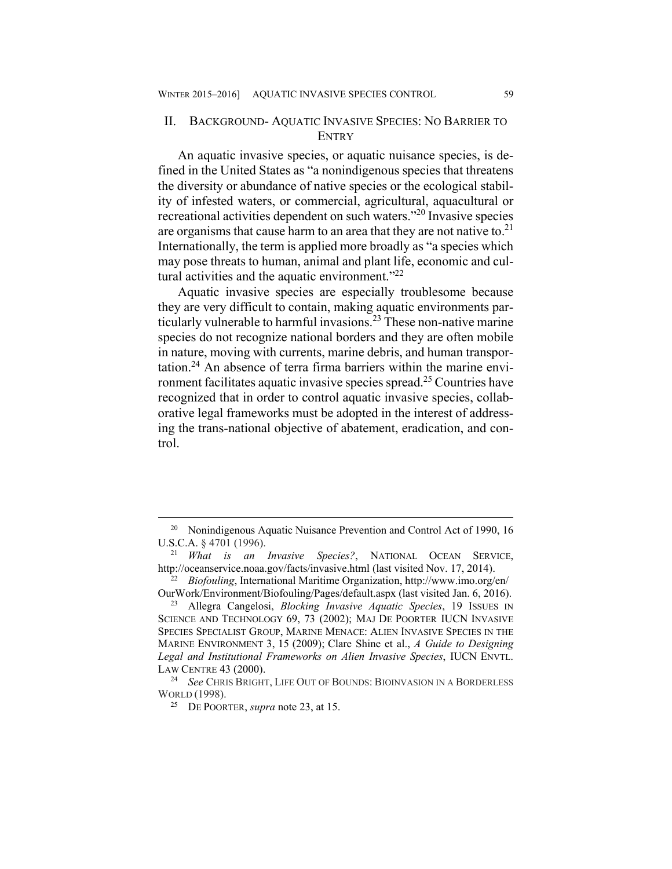#### II. BACKGROUND- AQUATIC INVASIVE SPECIES: NO BARRIER TO **ENTRY**

An aquatic invasive species, or aquatic nuisance species, is defined in the United States as "a nonindigenous species that threatens the diversity or abundance of native species or the ecological stability of infested waters, or commercial, agricultural, aquacultural or recreational activities dependent on such waters."20 Invasive species are organisms that cause harm to an area that they are not native to. $21$ Internationally, the term is applied more broadly as "a species which may pose threats to human, animal and plant life, economic and cultural activities and the aquatic environment. $^{22}$ 

Aquatic invasive species are especially troublesome because they are very difficult to contain, making aquatic environments particularly vulnerable to harmful invasions.23 These non-native marine species do not recognize national borders and they are often mobile in nature, moving with currents, marine debris, and human transportation.24 An absence of terra firma barriers within the marine environment facilitates aquatic invasive species spread.25 Countries have recognized that in order to control aquatic invasive species, collaborative legal frameworks must be adopted in the interest of addressing the trans-national objective of abatement, eradication, and control.

<sup>&</sup>lt;sup>20</sup> Nonindigenous Aquatic Nuisance Prevention and Control Act of 1990, 16 U.S.C.A. § 4701 (1996).

<sup>21</sup> *What is an Invasive Species?*, NATIONAL OCEAN SERVICE, http://oceanservice.noaa.gov/facts/invasive.html (last visited Nov. 17, 2014). 22 *Biofouling*, International Maritime Organization, http://www.imo.org/en/

OurWork/Environment/Biofouling/Pages/default.aspx (last visited Jan. 6, 2016). 23 Allegra Cangelosi, *Blocking Invasive Aquatic Species*, 19 ISSUES IN SCIENCE AND TECHNOLOGY 69, 73 (2002); MAJ DE POORTER IUCN INVASIVE SPECIES SPECIALIST GROUP, MARINE MENACE: ALIEN INVASIVE SPECIES IN THE MARINE ENVIRONMENT 3, 15 (2009); Clare Shine et al., *A Guide to Designing Legal and Institutional Frameworks on Alien Invasive Species*, IUCN ENVTL. LAW CENTRE 43 (2000). 24 *See* CHRIS BRIGHT, LIFE OUT OF BOUNDS: BIOINVASION IN A BORDERLESS

WORLD (1998).

<sup>25</sup> DE POORTER, *supra* note 23, at 15.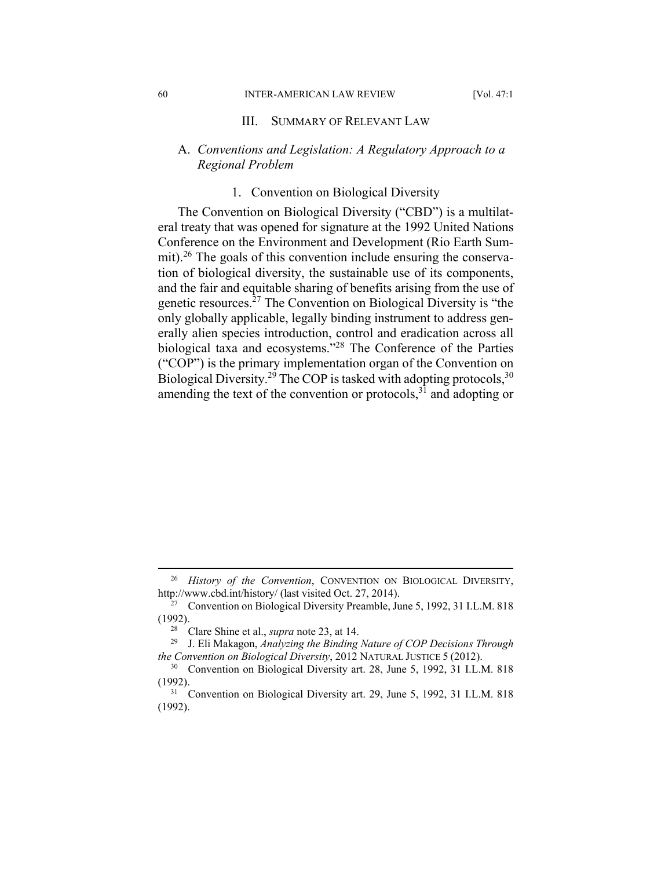#### 60 INTER-AMERICAN LAW REVIEW [Vol. 47:1

#### III. SUMMARY OF RELEVANT LAW

#### A. *Conventions and Legislation: A Regulatory Approach to a Regional Problem*

#### 1. Convention on Biological Diversity

The Convention on Biological Diversity ("CBD") is a multilateral treaty that was opened for signature at the 1992 United Nations Conference on the Environment and Development (Rio Earth Summit).<sup>26</sup> The goals of this convention include ensuring the conservation of biological diversity, the sustainable use of its components, and the fair and equitable sharing of benefits arising from the use of genetic resources.27 The Convention on Biological Diversity is "the only globally applicable, legally binding instrument to address generally alien species introduction, control and eradication across all biological taxa and ecosystems."28 The Conference of the Parties ("COP") is the primary implementation organ of the Convention on Biological Diversity.<sup>29</sup> The COP is tasked with adopting protocols,<sup>30</sup> amending the text of the convention or protocols,  $3\overline{1}$  and adopting or

 <sup>26</sup> *History of the Convention*, CONVENTION ON BIOLOGICAL DIVERSITY, http://www.cbd.int/history/ (last visited Oct. 27, 2014).<br><sup>27</sup> Convention on Biological Diversity Preamble, June 5, 1992, 31 I.L.M. 818

<sup>(1992). 28</sup> Clare Shine et al., *supra* note 23, at 14. 29 J. Eli Makagon, *Analyzing the Binding Nature of COP Decisions Through* 

*the Convention on Biological Diversity*, 2012 NATURAL JUSTICE 5 (2012).<br><sup>30</sup> Convention on Biological Diversity art. 28, June 5, 1992, 31 I.L.M. 818

<sup>(1992). 31</sup> Convention on Biological Diversity art. 29, June 5, 1992, 31 I.L.M. 818

<sup>(1992).</sup>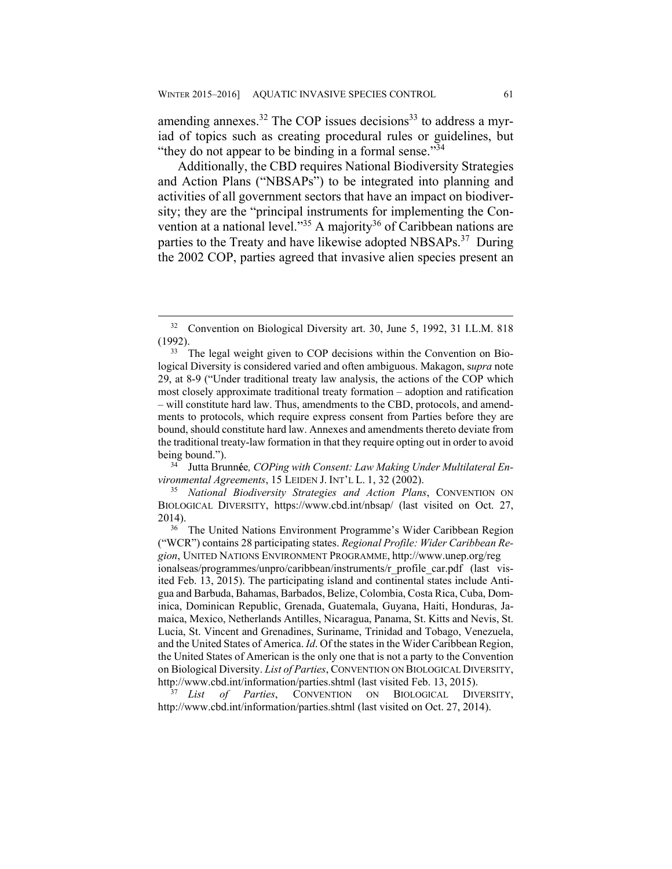amending annexes.<sup>32</sup> The COP issues decisions<sup>33</sup> to address a myriad of topics such as creating procedural rules or guidelines, but "they do not appear to be binding in a formal sense."<sup>34</sup>

Additionally, the CBD requires National Biodiversity Strategies and Action Plans ("NBSAPs") to be integrated into planning and activities of all government sectors that have an impact on biodiversity; they are the "principal instruments for implementing the Convention at a national level."<sup>35</sup> A majority<sup>36</sup> of Caribbean nations are parties to the Treaty and have likewise adopted NBSAPs.<sup>37</sup> During the 2002 COP, parties agreed that invasive alien species present an

34 Jutta Brunn**é**e*, COPing with Consent: Law Making Under Multilateral Environmental Agreements*, 15 LEIDEN J. INT'L L. 1, 32 (2002). 35 *National Biodiversity Strategies and Action Plans*, CONVENTION ON

BIOLOGICAL DIVERSITY, https://www.cbd.int/nbsap/ (last visited on Oct. 27, 2014). 36 The United Nations Environment Programme's Wider Caribbean Region

http://www.cbd.int/information/parties.shtml (last visited on Oct. 27, 2014).

 <sup>32</sup> Convention on Biological Diversity art. 30, June 5, 1992, 31 I.L.M. 818 (1992).<br> $33$  The legal weight given to COP decisions within the Convention on Bio-

logical Diversity is considered varied and often ambiguous. Makagon, s*upra* note 29, at 8-9 ("Under traditional treaty law analysis, the actions of the COP which most closely approximate traditional treaty formation – adoption and ratification – will constitute hard law. Thus, amendments to the CBD, protocols, and amendments to protocols, which require express consent from Parties before they are bound, should constitute hard law. Annexes and amendments thereto deviate from the traditional treaty-law formation in that they require opting out in order to avoid being bound.").

<sup>(&</sup>quot;WCR") contains 28 participating states. *Regional Profile: Wider Caribbean Region*, UNITED NATIONS ENVIRONMENT PROGRAMME, http://www.unep.org/reg ionalseas/programmes/unpro/caribbean/instruments/r\_profile\_car.pdf (last visited Feb. 13, 2015). The participating island and continental states include Antigua and Barbuda, Bahamas, Barbados, Belize, Colombia, Costa Rica, Cuba, Dominica, Dominican Republic, Grenada, Guatemala, Guyana, Haiti, Honduras, Jamaica, Mexico, Netherlands Antilles, Nicaragua, Panama, St. Kitts and Nevis, St. Lucia, St. Vincent and Grenadines, Suriname, Trinidad and Tobago, Venezuela, and the United States of America. *Id*. Of the states in the Wider Caribbean Region, the United States of American is the only one that is not a party to the Convention on Biological Diversity. *List of Parties*, CONVENTION ON BIOLOGICAL DIVERSITY, http://www.cbd.int/information/parties.shtml (last visited Feb. 13, 2015). 37 *List of Parties*, CONVENTION ON BIOLOGICAL DIVERSITY,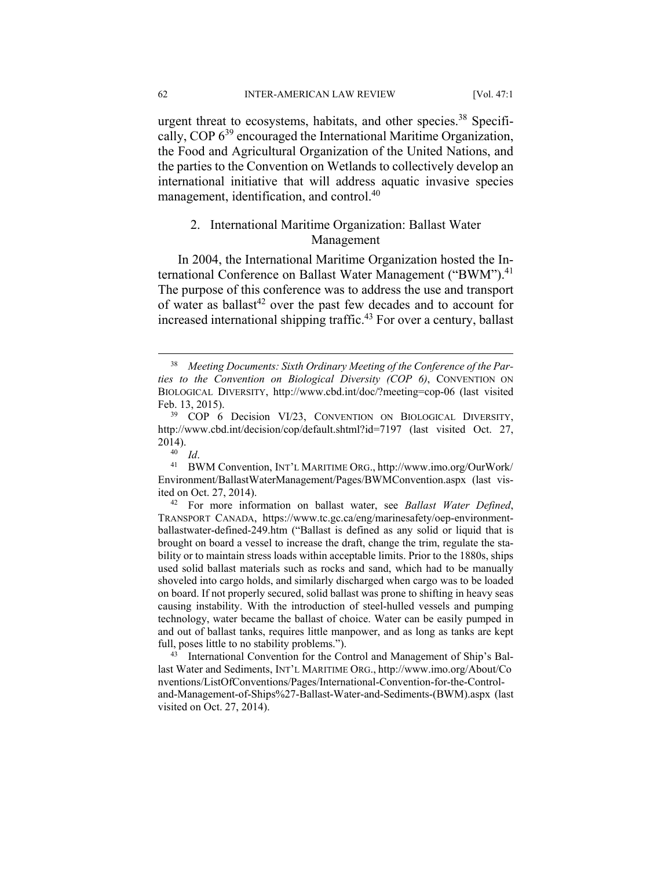62 INTER-AMERICAN LAW REVIEW [Vol. 47:1

urgent threat to ecosystems, habitats, and other species.<sup>38</sup> Specifically, COP 639 encouraged the International Maritime Organization, the Food and Agricultural Organization of the United Nations, and the parties to the Convention on Wetlands to collectively develop an international initiative that will address aquatic invasive species management, identification, and control.<sup>40</sup>

## 2. International Maritime Organization: Ballast Water Management

In 2004, the International Maritime Organization hosted the International Conference on Ballast Water Management ("BWM").<sup>41</sup> The purpose of this conference was to address the use and transport of water as ballast<sup>42</sup> over the past few decades and to account for increased international shipping traffic.43 For over a century, ballast

Environment/BallastWaterManagement/Pages/BWMConvention.aspx (last vis-

ited on Oct. 27, 2014). 42 For more information on ballast water, see *Ballast Water Defined*, TRANSPORT CANADA, https://www.tc.gc.ca/eng/marinesafety/oep-environmentballastwater-defined-249.htm ("Ballast is defined as any solid or liquid that is brought on board a vessel to increase the draft, change the trim, regulate the stability or to maintain stress loads within acceptable limits. Prior to the 1880s, ships used solid ballast materials such as rocks and sand, which had to be manually shoveled into cargo holds, and similarly discharged when cargo was to be loaded on board. If not properly secured, solid ballast was prone to shifting in heavy seas causing instability. With the introduction of steel-hulled vessels and pumping technology, water became the ballast of choice. Water can be easily pumped in and out of ballast tanks, requires little manpower, and as long as tanks are kept full, poses little to no stability problems.").<br><sup>43</sup> International Convention for the Control and Management of Ship's Bal-

last Water and Sediments, INT'L MARITIME ORG., http://www.imo.org/About/Co nventions/ListOfConventions/Pages/International-Convention-for-the-Controland-Management-of-Ships%27-Ballast-Water-and-Sediments-(BWM).aspx (last visited on Oct. 27, 2014).

 <sup>38</sup> *Meeting Documents: Sixth Ordinary Meeting of the Conference of the Parties to the Convention on Biological Diversity (COP 6)*, CONVENTION ON BIOLOGICAL DIVERSITY, http://www.cbd.int/doc/?meeting=cop-06 (last visited

Feb. 13, 2015).<br><sup>39</sup> COP 6 Decision VI/23, CONVENTION ON BIOLOGICAL DIVERSITY, http://www.cbd.int/decision/cop/default.shtml?id=7197 (last visited Oct. 27, 2014).<br><sup>40</sup> *Id.* BWM Convention, INT'L MARITIME ORG., http://www.imo.org/OurWork/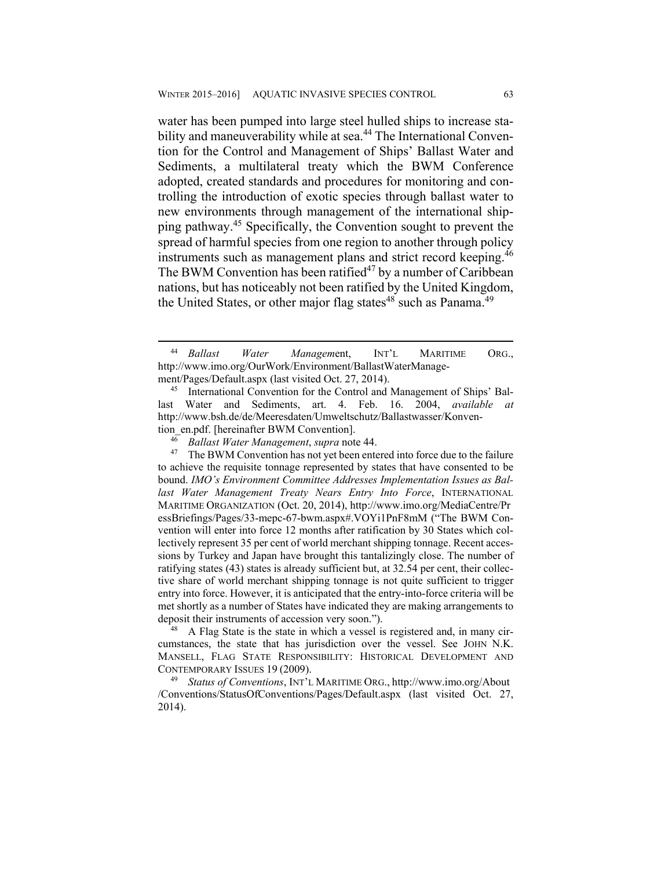water has been pumped into large steel hulled ships to increase stability and maneuverability while at sea.<sup>44</sup> The International Convention for the Control and Management of Ships' Ballast Water and Sediments, a multilateral treaty which the BWM Conference adopted, created standards and procedures for monitoring and controlling the introduction of exotic species through ballast water to new environments through management of the international shipping pathway.45 Specifically, the Convention sought to prevent the spread of harmful species from one region to another through policy instruments such as management plans and strict record keeping.<sup>46</sup> The BWM Convention has been ratified<sup>47</sup> by a number of Caribbean nations, but has noticeably not been ratified by the United Kingdom, the United States, or other major flag states $48$  such as Panama.<sup>49</sup>

cumstances, the state that has jurisdiction over the vessel. See JOHN N.K. MANSELL, FLAG STATE RESPONSIBILITY: HISTORICAL DEVELOPMENT AND CONTEMPORARY ISSUES 19 (2009). 49 *Status of Conventions*, INT'L MARITIME ORG., http://www.imo.org/About

/Conventions/StatusOfConventions/Pages/Default.aspx (last visited Oct. 27, 2014).

 <sup>44</sup> *Ballast Water Managem*ent, INT'L MARITIME ORG., http://www.imo.org/OurWork/Environment/BallastWaterManage-

ment/Pages/Default.aspx (last visited Oct. 27, 2014).<br><sup>45</sup> International Convention for the Control and Management of Ships' Ballast Water and Sediments, art. 4. Feb. 16. 2004, *available at* http://www.bsh.de/de/Meeresdaten/Umweltschutz/Ballastwasser/Konven-

tion\_en.pdf. [hereinafter BWM Convention].<br><sup>46</sup> Ballast Water Management, *supra* note 44.<br><sup>47</sup> The BWM Convention has not yet been entered into force due to the failure to achieve the requisite tonnage represented by states that have consented to be bound. *IMO's Environment Committee Addresses Implementation Issues as Ballast Water Management Treaty Nears Entry Into Force*, INTERNATIONAL MARITIME ORGANIZATION (Oct. 20, 2014), http://www.imo.org/MediaCentre/Pr essBriefings/Pages/33-mepc-67-bwm.aspx#.VOYi1PnF8mM ("The BWM Convention will enter into force 12 months after ratification by 30 States which collectively represent 35 per cent of world merchant shipping tonnage. Recent accessions by Turkey and Japan have brought this tantalizingly close. The number of ratifying states (43) states is already sufficient but, at 32.54 per cent, their collective share of world merchant shipping tonnage is not quite sufficient to trigger entry into force. However, it is anticipated that the entry-into-force criteria will be met shortly as a number of States have indicated they are making arrangements to deposit their instruments of accession very soon.").<br><sup>48</sup> A Flag State is the state in which a vessel is registered and, in many cir-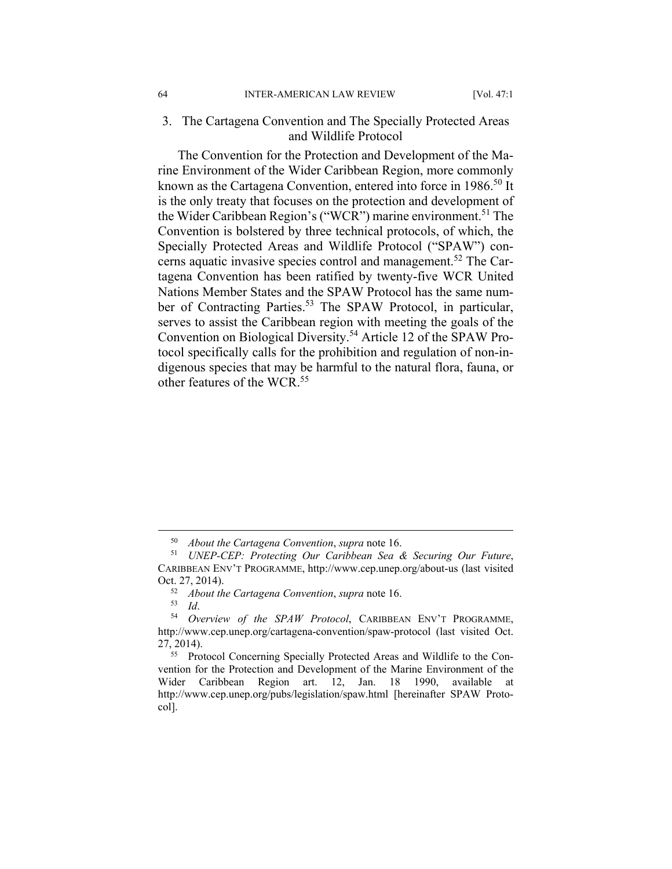#### 3. The Cartagena Convention and The Specially Protected Areas and Wildlife Protocol

The Convention for the Protection and Development of the Marine Environment of the Wider Caribbean Region, more commonly known as the Cartagena Convention, entered into force in 1986.<sup>50</sup> It is the only treaty that focuses on the protection and development of the Wider Caribbean Region's ("WCR") marine environment.<sup>51</sup> The Convention is bolstered by three technical protocols, of which, the Specially Protected Areas and Wildlife Protocol ("SPAW") concerns aquatic invasive species control and management.52 The Cartagena Convention has been ratified by twenty-five WCR United Nations Member States and the SPAW Protocol has the same number of Contracting Parties.<sup>53</sup> The SPAW Protocol, in particular, serves to assist the Caribbean region with meeting the goals of the Convention on Biological Diversity.54 Article 12 of the SPAW Protocol specifically calls for the prohibition and regulation of non-indigenous species that may be harmful to the natural flora, fauna, or other features of the WCR  $55$ 

<sup>50</sup> *About the Cartagena Convention*, *supra* note 16. 51 *UNEP-CEP: Protecting Our Caribbean Sea & Securing Our Future*, CARIBBEAN ENV'T PROGRAMME, http://www.cep.unep.org/about-us (last visited Oct. 27, 2014).<br><sup>52</sup> *About the Cartagena Convention, supra* note 16.<br><sup>53</sup> *Id. Overview of the SPAW Protocol*, CARIBBEAN ENV'T PROGRAMME,

http://www.cep.unep.org/cartagena-convention/spaw-protocol (last visited Oct. 27, 2014). 55 Protocol Concerning Specially Protected Areas and Wildlife to the Con-

vention for the Protection and Development of the Marine Environment of the Wider Caribbean Region art. 12, Jan. 18 1990, available at http://www.cep.unep.org/pubs/legislation/spaw.html [hereinafter SPAW Protocol].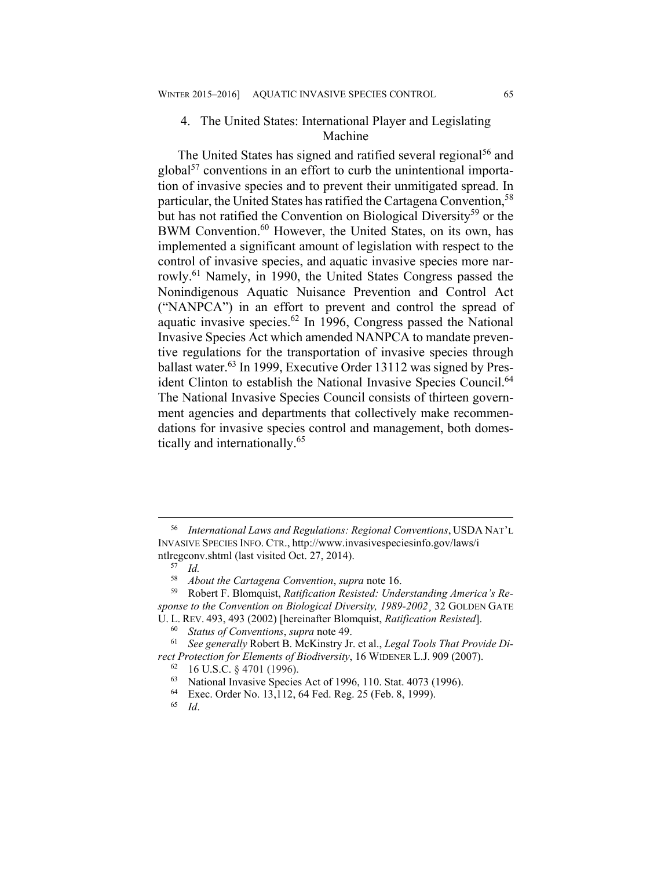### 4. The United States: International Player and Legislating Machine

The United States has signed and ratified several regional<sup>56</sup> and  $global<sup>57</sup>$  conventions in an effort to curb the unintentional importation of invasive species and to prevent their unmitigated spread. In particular, the United States has ratified the Cartagena Convention,<sup>58</sup> but has not ratified the Convention on Biological Diversity<sup>59</sup> or the BWM Convention.<sup>60</sup> However, the United States, on its own, has implemented a significant amount of legislation with respect to the control of invasive species, and aquatic invasive species more narrowly.<sup>61</sup> Namely, in 1990, the United States Congress passed the Nonindigenous Aquatic Nuisance Prevention and Control Act ("NANPCA") in an effort to prevent and control the spread of aquatic invasive species.62 In 1996, Congress passed the National Invasive Species Act which amended NANPCA to mandate preventive regulations for the transportation of invasive species through ballast water.<sup>63</sup> In 1999, Executive Order 13112 was signed by President Clinton to establish the National Invasive Species Council.<sup>64</sup> The National Invasive Species Council consists of thirteen government agencies and departments that collectively make recommendations for invasive species control and management, both domestically and internationally.65

 <sup>56</sup> *International Laws and Regulations: Regional Conventions*, USDA NAT'L INVASIVE SPECIES INFO. CTR., http://www.invasivespeciesinfo.gov/laws/i ntlregconv.shtml (last visited Oct. 27, 2014).<br><sup>57</sup> Id.<br><sup>58</sup> About the Cartagena Convention, sup

<sup>58</sup> *About the Cartagena Convention*, *supra* note 16. 59 Robert F. Blomquist, *Ratification Resisted: Understanding America's Response to the Convention on Biological Diversity, 1989-2002*¸ 32 GOLDEN GATE U. L. REV. 493, 493 (2002) [hereinafter Blomquist, *Ratification Resisted*].<br><sup>60</sup> *Status of Conventions, supra* note 49.<br><sup>61</sup> *See generally Robert B. McKinstry Jr. et al., Legal Tools That Provide Di-*

*rect Protection for Elements of Biodiversity*, 16 WIDENER L.J. 909 (2007).<br><sup>62</sup> 16 U.S.C. § 4701 (1996).

<sup>63</sup> National Invasive Species Act of 1996, 110. Stat. 4073 (1996).

<sup>64</sup> Exec. Order No. 13,112, 64 Fed. Reg. 25 (Feb. 8, 1999).

<sup>65</sup> *Id*.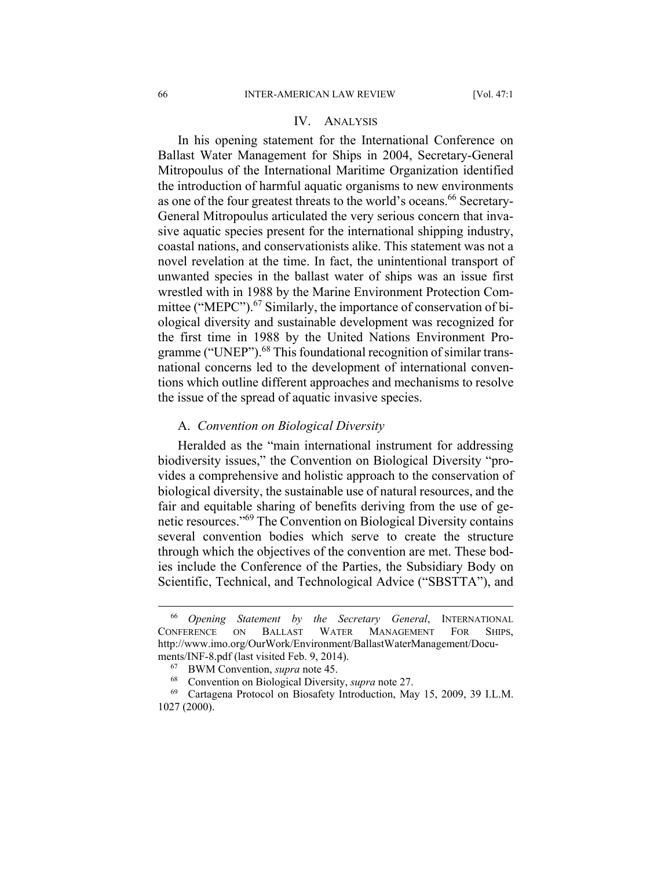#### IV. ANALYSIS

In his opening statement for the International Conference on Ballast Water Management for Ships in 2004, Secretary-General Mitropoulus of the International Maritime Organization identified the introduction of harmful aquatic organisms to new environments as one of the four greatest threats to the world's oceans.<sup>66</sup> Secretary-General Mitropoulus articulated the very serious concern that invasive aquatic species present for the international shipping industry, coastal nations, and conservationists alike. This statement was not a novel revelation at the time. In fact, the unintentional transport of unwanted species in the ballast water of ships was an issue first wrestled with in 1988 by the Marine Environment Protection Committee ("MEPC").<sup>67</sup> Similarly, the importance of conservation of biological diversity and sustainable development was recognized for the first time in 1988 by the United Nations Environment Programme ("UNEP").<sup>68</sup> This foundational recognition of similar transnational concerns led to the development of international conventions which outline different approaches and mechanisms to resolve the issue of the spread of aquatic invasive species.

#### A. *Convention on Biological Diversity*

Heralded as the "main international instrument for addressing biodiversity issues," the Convention on Biological Diversity "provides a comprehensive and holistic approach to the conservation of biological diversity, the sustainable use of natural resources, and the fair and equitable sharing of benefits deriving from the use of genetic resources."69 The Convention on Biological Diversity contains several convention bodies which serve to create the structure through which the objectives of the convention are met. These bodies include the Conference of the Parties, the Subsidiary Body on Scientific, Technical, and Technological Advice ("SBSTTA"), and

 <sup>66</sup> *Opening Statement by the Secretary General*, INTERNATIONAL CONFERENCE ON BALLAST WATER MANAGEMENT FOR SHIPS, http://www.imo.org/OurWork/Environment/BallastWaterManagement/Docu-

ments/INF-8.pdf (last visited Feb. 9, 2014).<br><sup>67</sup> BWM Convention, *supra* note 45.<br><sup>68</sup> Convention on Biological Diversity, *supra* note 27.<br><sup>69</sup> Cartagena Protocol on Biosafety Introduction, May 15, 2009, 39 I.L.M. 1027 (2000).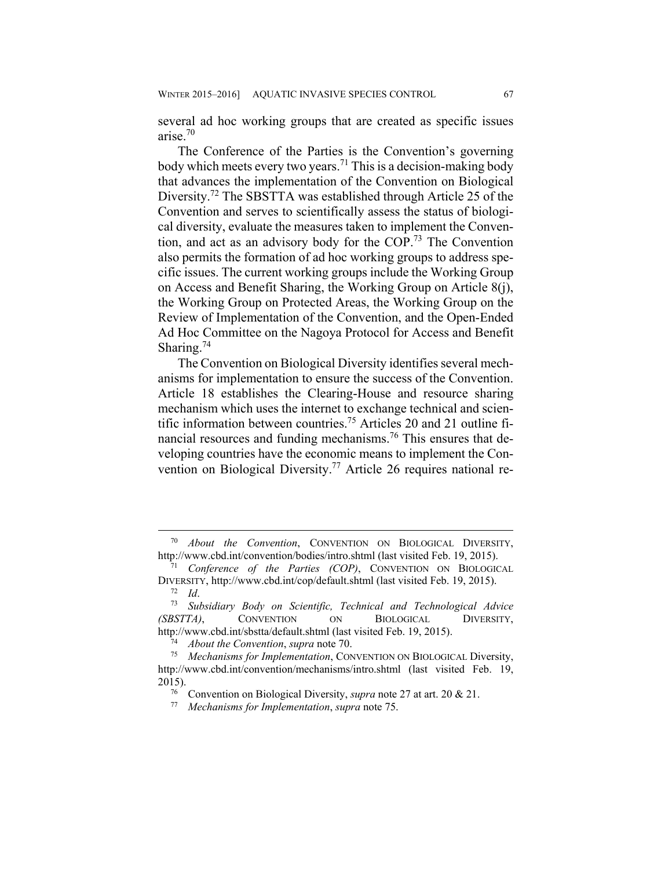several ad hoc working groups that are created as specific issues arise.70

The Conference of the Parties is the Convention's governing body which meets every two years.71 This is a decision-making body that advances the implementation of the Convention on Biological Diversity.<sup>72</sup> The SBSTTA was established through Article 25 of the Convention and serves to scientifically assess the status of biological diversity, evaluate the measures taken to implement the Convention, and act as an advisory body for the COP.73 The Convention also permits the formation of ad hoc working groups to address specific issues. The current working groups include the Working Group on Access and Benefit Sharing, the Working Group on Article 8(j), the Working Group on Protected Areas, the Working Group on the Review of Implementation of the Convention, and the Open-Ended Ad Hoc Committee on the Nagoya Protocol for Access and Benefit Sharing.<sup>74</sup>

The Convention on Biological Diversity identifies several mechanisms for implementation to ensure the success of the Convention. Article 18 establishes the Clearing-House and resource sharing mechanism which uses the internet to exchange technical and scientific information between countries.75 Articles 20 and 21 outline financial resources and funding mechanisms.76 This ensures that developing countries have the economic means to implement the Convention on Biological Diversity.<sup>77</sup> Article 26 requires national re-

 <sup>70</sup> *About the Convention*, CONVENTION ON BIOLOGICAL DIVERSITY, http://www.cbd.int/convention/bodies/intro.shtml (last visited Feb. 19, 2015). 71 *Conference of the Parties (COP)*, CONVENTION ON BIOLOGICAL

DIVERSITY, http://www.cbd.int/cop/default.shtml (last visited Feb. 19, 2015). 72 *Id*. 73 *Subsidiary Body on Scientific, Technical and Technological Advice* 

*<sup>(</sup>SBSTTA)*, CONVENTION ON BIOLOGICAL DIVERSITY, http://www.cbd.int/sbstta/default.shtml (last visited Feb. 19, 2015). 74 *About the Convention*, *supra* note 70. 75 *Mechanisms for Implementation*, CONVENTION ON BIOLOGICAL Diversity,

http://www.cbd.int/convention/mechanisms/intro.shtml (last visited Feb. 19, 2015). 76 Convention on Biological Diversity, *supra* note 27 at art. 20 & 21. 77 *Mechanisms for Implementation*, *supra* note 75.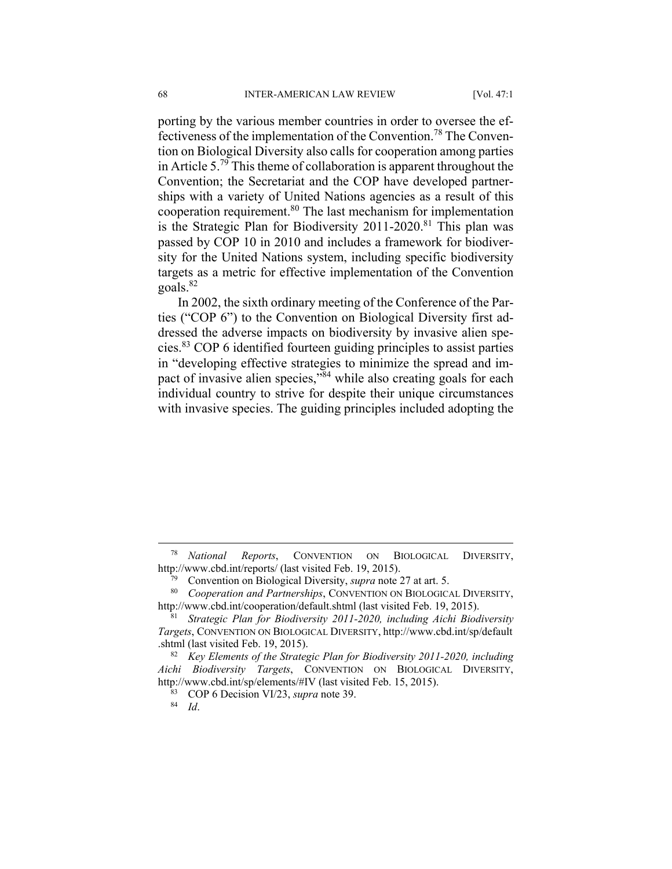porting by the various member countries in order to oversee the effectiveness of the implementation of the Convention.<sup>78</sup> The Convention on Biological Diversity also calls for cooperation among parties in Article 5.79 This theme of collaboration is apparent throughout the Convention; the Secretariat and the COP have developed partnerships with a variety of United Nations agencies as a result of this cooperation requirement.<sup>80</sup> The last mechanism for implementation is the Strategic Plan for Biodiversity 2011-2020.<sup>81</sup> This plan was passed by COP 10 in 2010 and includes a framework for biodiversity for the United Nations system, including specific biodiversity targets as a metric for effective implementation of the Convention goals.82

In 2002, the sixth ordinary meeting of the Conference of the Parties ("COP 6") to the Convention on Biological Diversity first addressed the adverse impacts on biodiversity by invasive alien species.83 COP 6 identified fourteen guiding principles to assist parties in "developing effective strategies to minimize the spread and impact of invasive alien species,"<sup>84</sup> while also creating goals for each individual country to strive for despite their unique circumstances with invasive species. The guiding principles included adopting the

 <sup>78</sup> *National Reports*, CONVENTION ON BIOLOGICAL DIVERSITY, http://www.cbd.int/reports/ (last visited Feb. 19, 2015).<br><sup>79</sup> Convention on Biological Diversity, *supra* note 27 at art. 5.<br><sup>80</sup> Cooperation and Partnerships, CONVENTION ON BIOLOGICAL DIVERSITY,

http://www.cbd.int/cooperation/default.shtml (last visited Feb. 19, 2015). 81 *Strategic Plan for Biodiversity 2011-2020, including Aichi Biodiversity* 

*Targets*, CONVENTION ON BIOLOGICAL DIVERSITY, http://www.cbd.int/sp/default .shtml (last visited Feb. 19, 2015). 82 *Key Elements of the Strategic Plan for Biodiversity 2011-2020, including* 

*Aichi Biodiversity Targets*, CONVENTION ON BIOLOGICAL DIVERSITY, http://www.cbd.int/sp/elements/#IV (last visited Feb. 15, 2015).<br><sup>83</sup> COP 6 Decision VI/23, *supra* note 39.<br><sup>84</sup> Id.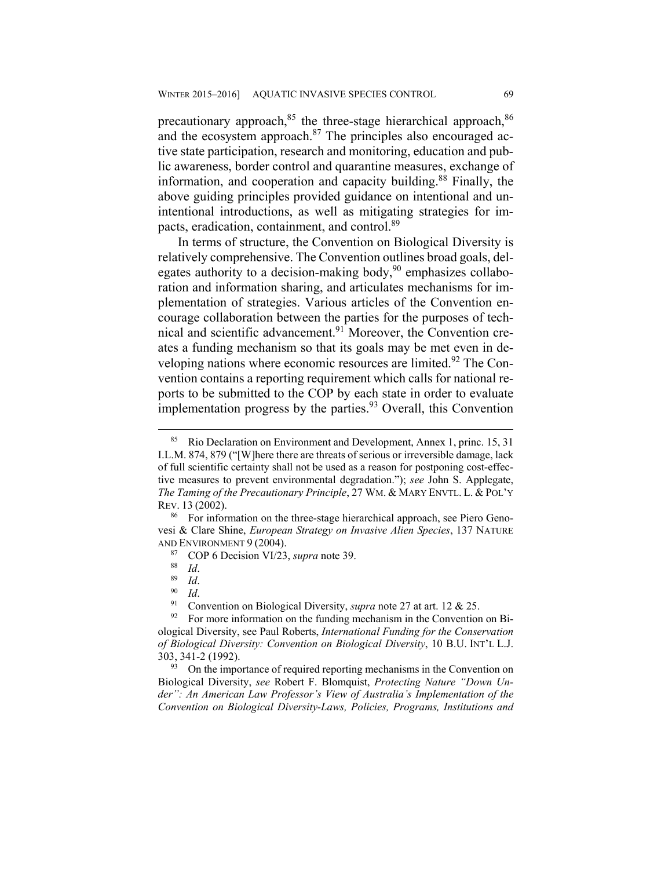precautionary approach,<sup>85</sup> the three-stage hierarchical approach,<sup>86</sup> and the ecosystem approach. $87$  The principles also encouraged active state participation, research and monitoring, education and public awareness, border control and quarantine measures, exchange of information, and cooperation and capacity building.<sup>88</sup> Finally, the above guiding principles provided guidance on intentional and unintentional introductions, as well as mitigating strategies for impacts, eradication, containment, and control.89

In terms of structure, the Convention on Biological Diversity is relatively comprehensive. The Convention outlines broad goals, delegates authority to a decision-making body, $90$  emphasizes collaboration and information sharing, and articulates mechanisms for implementation of strategies. Various articles of the Convention encourage collaboration between the parties for the purposes of technical and scientific advancement.<sup>91</sup> Moreover, the Convention creates a funding mechanism so that its goals may be met even in developing nations where economic resources are limited.<sup>92</sup> The Convention contains a reporting requirement which calls for national reports to be submitted to the COP by each state in order to evaluate implementation progress by the parties. $93$  Overall, this Convention

 <sup>85</sup> Rio Declaration on Environment and Development, Annex 1, princ. 15, 31 I.L.M. 874, 879 ("[W]here there are threats of serious or irreversible damage, lack of full scientific certainty shall not be used as a reason for postponing cost-effective measures to prevent environmental degradation."); *see* John S. Applegate, *The Taming of the Precautionary Principle*, 27 WM. & MARY ENVTL. L. & POL'Y REV. 13 (2002).<br><sup>86</sup> For information on the three-stage hierarchical approach, see Piero Geno-

vesi & Clare Shine, *European Strategy on Invasive Alien Species*, 137 NATURE AND ENVIRONMENT 9 (2004).<br>
<sup>87</sup> COP 6 Decision VI/23, *supra* note 39.<br>
<sup>88</sup> Id.<br>
<sup>90</sup> Id.<br>
Onvention on Biological Diversity, *supra* note 27 at art. 12 & 25.<br>
<sup>91</sup> Convention on Biological Diversity, *supra* note 27 at

ological Diversity, see Paul Roberts, *International Funding for the Conservation of Biological Diversity: Convention on Biological Diversity*, 10 B.U. INT'L L.J. 303, 341-2 (1992).<br><sup>93</sup> On the importance of required reporting mechanisms in the Convention on

Biological Diversity, *see* Robert F. Blomquist, *Protecting Nature "Down Under": An American Law Professor's View of Australia's Implementation of the Convention on Biological Diversity-Laws, Policies, Programs, Institutions and*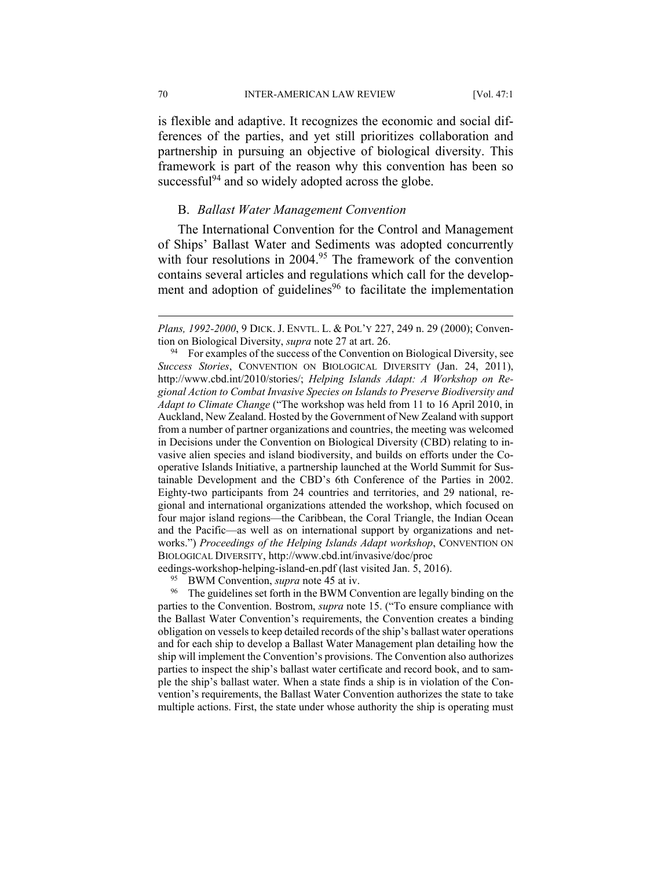70 INTER-AMERICAN LAW REVIEW [Vol. 47:1

is flexible and adaptive. It recognizes the economic and social differences of the parties, and yet still prioritizes collaboration and partnership in pursuing an objective of biological diversity. This framework is part of the reason why this convention has been so successful $^{94}$  and so widely adopted across the globe.

#### B. *Ballast Water Management Convention*

The International Convention for the Control and Management of Ships' Ballast Water and Sediments was adopted concurrently with four resolutions in 2004.<sup>95</sup> The framework of the convention contains several articles and regulations which call for the development and adoption of guidelines $96$  to facilitate the implementation

eedings-workshop-helping-island-en.pdf (last visited Jan. 5, 2016).<br><sup>95</sup> BWM Convention, *supra* note 45 at iv.<br><sup>96</sup> The guidelines set forth in the BWM Convention are legally binding on the parties to the Convention. Bostrom, *supra* note 15. ("To ensure compliance with the Ballast Water Convention's requirements, the Convention creates a binding obligation on vessels to keep detailed records of the ship's ballast water operations and for each ship to develop a Ballast Water Management plan detailing how the ship will implement the Convention's provisions. The Convention also authorizes parties to inspect the ship's ballast water certificate and record book, and to sample the ship's ballast water. When a state finds a ship is in violation of the Convention's requirements, the Ballast Water Convention authorizes the state to take multiple actions. First, the state under whose authority the ship is operating must

1

*Plans, 1992-2000*, 9 DICK. J. ENVTL. L. & POL'Y 227, 249 n. 29 (2000); Convention on Biological Diversity, *supra* note 27 at art. 26.<br><sup>94</sup> For examples of the success of the Convention on Biological Diversity, see

*Success Stories*, CONVENTION ON BIOLOGICAL DIVERSITY (Jan. 24, 2011), http://www.cbd.int/2010/stories/; *Helping Islands Adapt: A Workshop on Regional Action to Combat Invasive Species on Islands to Preserve Biodiversity and Adapt to Climate Change* ("The workshop was held from 11 to 16 April 2010, in Auckland, New Zealand. Hosted by the Government of New Zealand with support from a number of partner organizations and countries, the meeting was welcomed in Decisions under the Convention on Biological Diversity (CBD) relating to invasive alien species and island biodiversity, and builds on efforts under the Cooperative Islands Initiative, a partnership launched at the World Summit for Sustainable Development and the CBD's 6th Conference of the Parties in 2002. Eighty-two participants from 24 countries and territories, and 29 national, regional and international organizations attended the workshop, which focused on four major island regions—the Caribbean, the Coral Triangle, the Indian Ocean and the Pacific—as well as on international support by organizations and networks.") *Proceedings of the Helping Islands Adapt workshop*, CONVENTION ON BIOLOGICAL DIVERSITY, http://www.cbd.int/invasive/doc/proc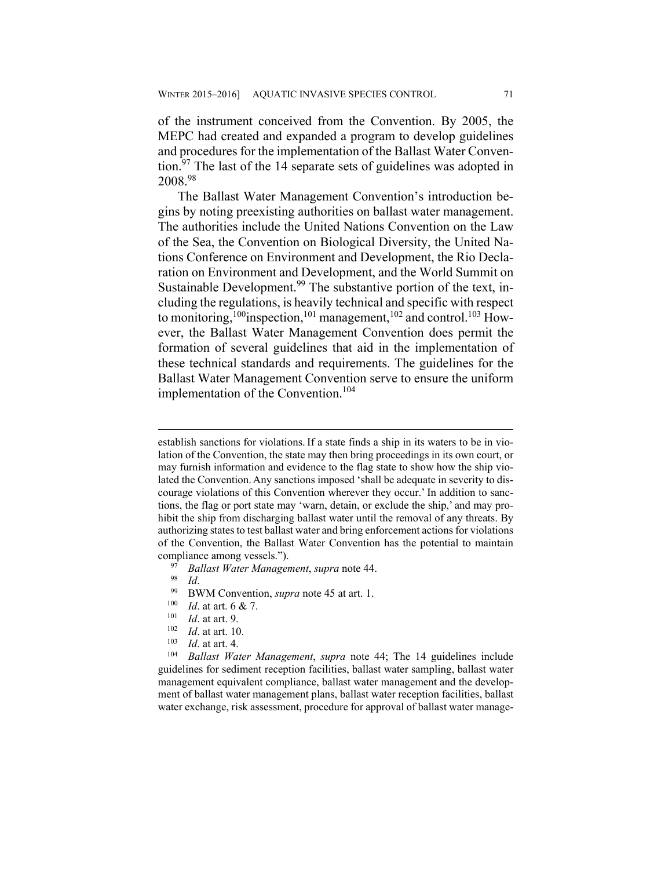of the instrument conceived from the Convention. By 2005, the MEPC had created and expanded a program to develop guidelines and procedures for the implementation of the Ballast Water Convention.97 The last of the 14 separate sets of guidelines was adopted in 2008.98

The Ballast Water Management Convention's introduction begins by noting preexisting authorities on ballast water management. The authorities include the United Nations Convention on the Law of the Sea, the Convention on Biological Diversity, the United Nations Conference on Environment and Development, the Rio Declaration on Environment and Development, and the World Summit on Sustainable Development.<sup>99</sup> The substantive portion of the text, including the regulations, is heavily technical and specific with respect to monitoring,<sup>100</sup>inspection,<sup>101</sup> management,<sup>102</sup> and control.<sup>103</sup> However, the Ballast Water Management Convention does permit the formation of several guidelines that aid in the implementation of these technical standards and requirements. The guidelines for the Ballast Water Management Convention serve to ensure the uniform implementation of the Convention.<sup>104</sup>

 $\overline{a}$ 

- 
- 
- 
- 
- 

guidelines for sediment reception facilities, ballast water sampling, ballast water management equivalent compliance, ballast water management and the development of ballast water management plans, ballast water reception facilities, ballast water exchange, risk assessment, procedure for approval of ballast water manage-

establish sanctions for violations. If a state finds a ship in its waters to be in violation of the Convention, the state may then bring proceedings in its own court, or may furnish information and evidence to the flag state to show how the ship violated the Convention.Any sanctions imposed 'shall be adequate in severity to discourage violations of this Convention wherever they occur.' In addition to sanctions, the flag or port state may 'warn, detain, or exclude the ship,' and may prohibit the ship from discharging ballast water until the removal of any threats. By authorizing states to test ballast water and bring enforcement actions for violations of the Convention, the Ballast Water Convention has the potential to maintain compliance among vessels.").<br>
<sup>97</sup> Ballast Water Management, supra note 44.<br>
<sup>98</sup> BWM Convention, supra note 45 at art. 1.<br>
<sup>100</sup> Id. at art. 6 & 7.<br>
<sup>101</sup> Id. at art. 9.<br>
<sup>102</sup> Id. at art. 10.<br>
<sup>103</sup> Id. at art. 4.<br>
<sup>103</sup>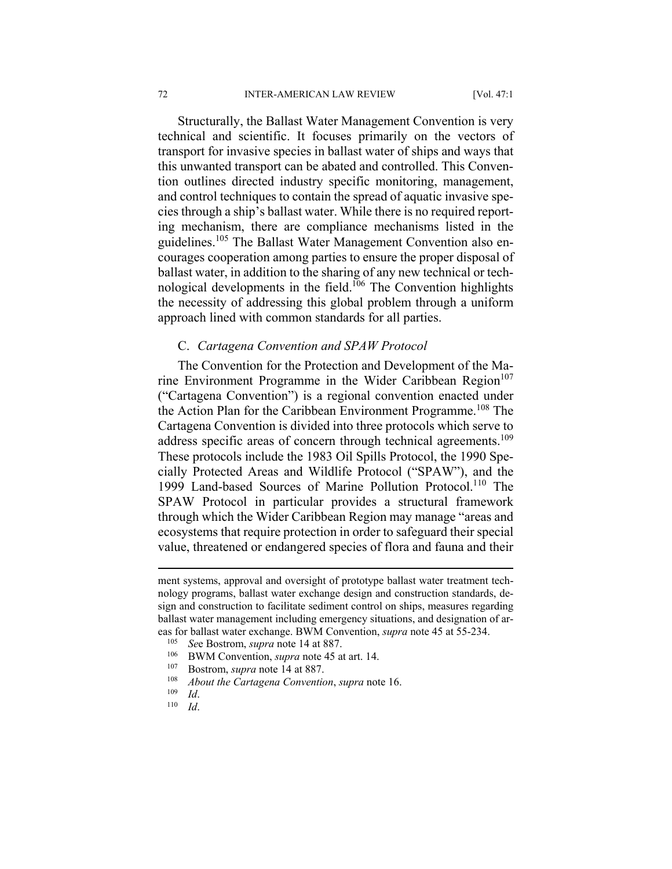Structurally, the Ballast Water Management Convention is very technical and scientific. It focuses primarily on the vectors of transport for invasive species in ballast water of ships and ways that this unwanted transport can be abated and controlled. This Convention outlines directed industry specific monitoring, management, and control techniques to contain the spread of aquatic invasive species through a ship's ballast water. While there is no required reporting mechanism, there are compliance mechanisms listed in the guidelines.<sup>105</sup> The Ballast Water Management Convention also encourages cooperation among parties to ensure the proper disposal of ballast water, in addition to the sharing of any new technical or technological developments in the field.<sup>106</sup> The Convention highlights the necessity of addressing this global problem through a uniform approach lined with common standards for all parties.

#### C. *Cartagena Convention and SPAW Protocol*

The Convention for the Protection and Development of the Marine Environment Programme in the Wider Caribbean Region $107$ ("Cartagena Convention") is a regional convention enacted under the Action Plan for the Caribbean Environment Programme.<sup>108</sup> The Cartagena Convention is divided into three protocols which serve to address specific areas of concern through technical agreements.<sup>109</sup> These protocols include the 1983 Oil Spills Protocol, the 1990 Specially Protected Areas and Wildlife Protocol ("SPAW"), and the 1999 Land-based Sources of Marine Pollution Protocol.<sup>110</sup> The SPAW Protocol in particular provides a structural framework through which the Wider Caribbean Region may manage "areas and ecosystems that require protection in order to safeguard their special value, threatened or endangered species of flora and fauna and their

- 
- 
- 
- 

ment systems, approval and oversight of prototype ballast water treatment technology programs, ballast water exchange design and construction standards, design and construction to facilitate sediment control on ships, measures regarding ballast water management including emergency situations, and designation of areas for ballast water exchange. BWM Convention, *supra* note 45 at 55-234.<br>
<sup>105</sup> See Bostrom, *supra* note 14 at 887.<br>
BWM Convention, *supra* note 45 at art. 14.<br>
<sup>107</sup> Bostrom, *supra* note 14 at 887.<br>
<sup>108</sup> About the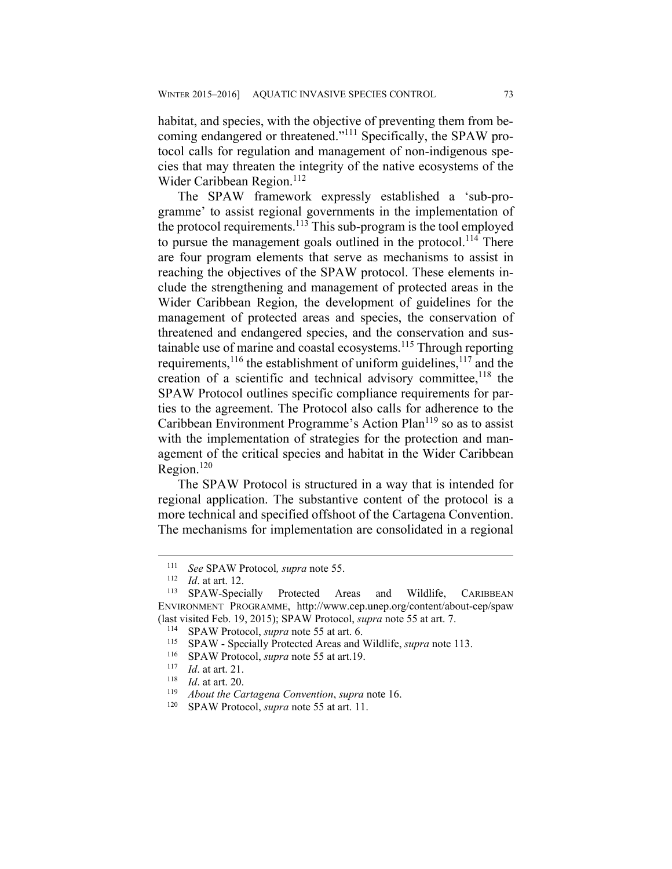habitat, and species, with the objective of preventing them from becoming endangered or threatened."111 Specifically, the SPAW protocol calls for regulation and management of non-indigenous species that may threaten the integrity of the native ecosystems of the Wider Caribbean Region.<sup>112</sup>

The SPAW framework expressly established a 'sub-programme' to assist regional governments in the implementation of the protocol requirements.<sup>113</sup> This sub-program is the tool employed to pursue the management goals outlined in the protocol.<sup>114</sup> There are four program elements that serve as mechanisms to assist in reaching the objectives of the SPAW protocol. These elements include the strengthening and management of protected areas in the Wider Caribbean Region, the development of guidelines for the management of protected areas and species, the conservation of threatened and endangered species, and the conservation and sustainable use of marine and coastal ecosystems.115 Through reporting requirements,<sup>116</sup> the establishment of uniform guidelines,<sup>117</sup> and the creation of a scientific and technical advisory committee,  $118$  the SPAW Protocol outlines specific compliance requirements for parties to the agreement. The Protocol also calls for adherence to the Caribbean Environment Programme's Action Plan<sup>119</sup> so as to assist with the implementation of strategies for the protection and management of the critical species and habitat in the Wider Caribbean Region.120

The SPAW Protocol is structured in a way that is intended for regional application. The substantive content of the protocol is a more technical and specified offshoot of the Cartagena Convention. The mechanisms for implementation are consolidated in a regional

1

<sup>111</sup> *See* SPAW Protocol, *supra* note 55.<br>
112 *Id.* at art. 12.<br>
113 SPAW-Specially Protected Areas and Wildlife, CARIBBEAN ENVIRONMENT PROGRAMME, http://www.cep.unep.org/content/about-cep/spaw (last visited Feb. 19, 2015); SPAW Protocol, *supra* note 55 at art. 7.<br><sup>114</sup> SPAW Protocol, *supra* note 55 at art. 6.<br><sup>115</sup> SPAW - Specially Protected Areas and Wildlife, *supra* note 113.<br><sup>116</sup> SPAW Protocol, *supra* n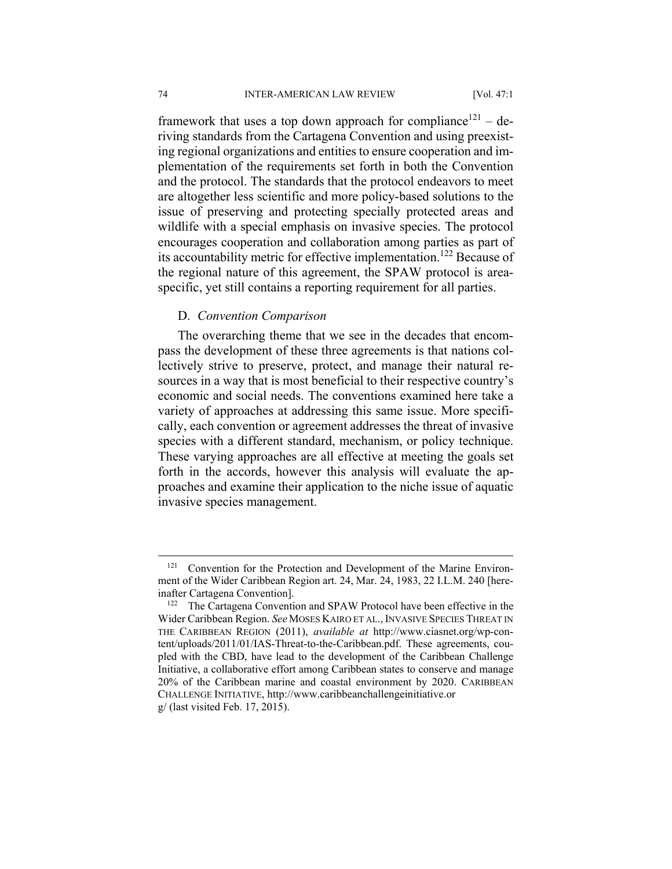framework that uses a top down approach for compliance<sup>121</sup> – deriving standards from the Cartagena Convention and using preexisting regional organizations and entities to ensure cooperation and implementation of the requirements set forth in both the Convention and the protocol. The standards that the protocol endeavors to meet are altogether less scientific and more policy-based solutions to the issue of preserving and protecting specially protected areas and wildlife with a special emphasis on invasive species. The protocol encourages cooperation and collaboration among parties as part of its accountability metric for effective implementation.<sup>122</sup> Because of the regional nature of this agreement, the SPAW protocol is areaspecific, yet still contains a reporting requirement for all parties.

#### D. *Convention Comparison*

The overarching theme that we see in the decades that encompass the development of these three agreements is that nations collectively strive to preserve, protect, and manage their natural resources in a way that is most beneficial to their respective country's economic and social needs. The conventions examined here take a variety of approaches at addressing this same issue. More specifically, each convention or agreement addresses the threat of invasive species with a different standard, mechanism, or policy technique. These varying approaches are all effective at meeting the goals set forth in the accords, however this analysis will evaluate the approaches and examine their application to the niche issue of aquatic invasive species management.

<sup>&</sup>lt;sup>121</sup> Convention for the Protection and Development of the Marine Environment of the Wider Caribbean Region art. 24, Mar. 24, 1983, 22 I.L.M. 240 [hereinafter Cartagena Convention].<br><sup>122</sup> The Cartagena Convention and SPAW Protocol have been effective in the

Wider Caribbean Region. *See* MOSES KAIRO ET AL., INVASIVE SPECIES THREAT IN THE CARIBBEAN REGION (2011), *available at* http://www.ciasnet.org/wp-content/uploads/2011/01/IAS-Threat-to-the-Caribbean.pdf. These agreements, coupled with the CBD, have lead to the development of the Caribbean Challenge Initiative, a collaborative effort among Caribbean states to conserve and manage 20% of the Caribbean marine and coastal environment by 2020. CARIBBEAN CHALLENGE INITIATIVE, http://www.caribbeanchallengeinitiative.or g/ (last visited Feb. 17, 2015).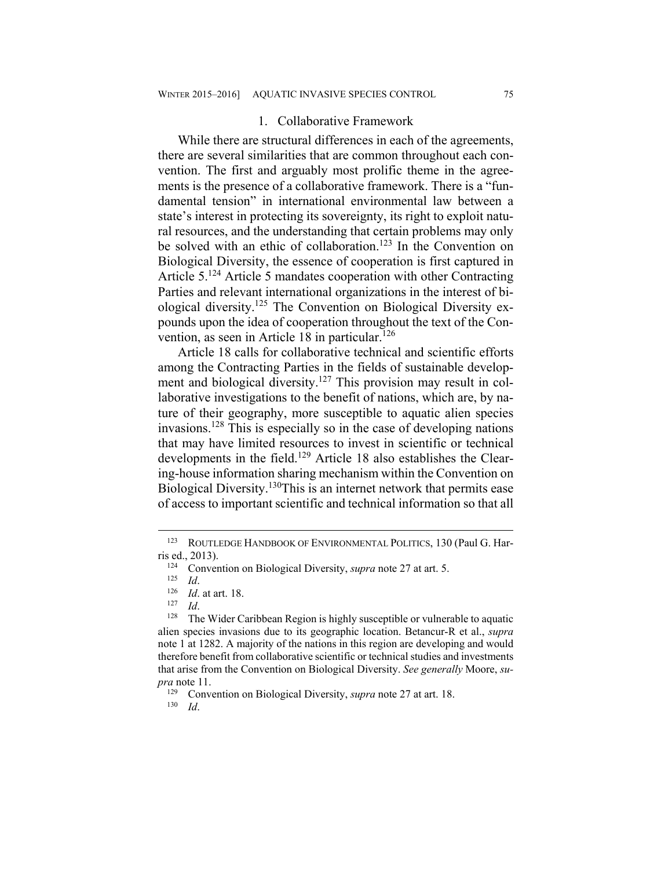#### 1. Collaborative Framework

While there are structural differences in each of the agreements, there are several similarities that are common throughout each convention. The first and arguably most prolific theme in the agreements is the presence of a collaborative framework. There is a "fundamental tension" in international environmental law between a state's interest in protecting its sovereignty, its right to exploit natural resources, and the understanding that certain problems may only be solved with an ethic of collaboration.<sup>123</sup> In the Convention on Biological Diversity, the essence of cooperation is first captured in Article 5.124 Article 5 mandates cooperation with other Contracting Parties and relevant international organizations in the interest of biological diversity.125 The Convention on Biological Diversity expounds upon the idea of cooperation throughout the text of the Convention, as seen in Article 18 in particular.<sup>126</sup>

Article 18 calls for collaborative technical and scientific efforts among the Contracting Parties in the fields of sustainable development and biological diversity.<sup>127</sup> This provision may result in collaborative investigations to the benefit of nations, which are, by nature of their geography, more susceptible to aquatic alien species invasions.128 This is especially so in the case of developing nations that may have limited resources to invest in scientific or technical developments in the field.<sup>129</sup> Article 18 also establishes the Clearing-house information sharing mechanism within the Convention on Biological Diversity.<sup>130</sup>This is an internet network that permits ease of access to important scientific and technical information so that all

<sup>123</sup> ROUTLEDGE HANDBOOK OF ENVIRONMENTAL POLITICS, 130 (Paul G. Harris ed., 2013).<br><sup>124</sup> Convention on Biological Diversity, *supra* note 27 at art. 5.<br><sup>125</sup> *Id.* 126 *Id*. at art. 18.<br><sup>127</sup> *Id*. <sup>128</sup> The Wider Caribbean Region is highly susceptible or vulnerable to aquatic

alien species invasions due to its geographic location. Betancur-R et al., *supra* note 1 at 1282. A majority of the nations in this region are developing and would therefore benefit from collaborative scientific or technical studies and investments that arise from the Convention on Biological Diversity. *See generally* Moore, *supra* note 11.

<sup>129</sup> Convention on Biological Diversity, *supra* note 27 at art. 18. 130 *Id*.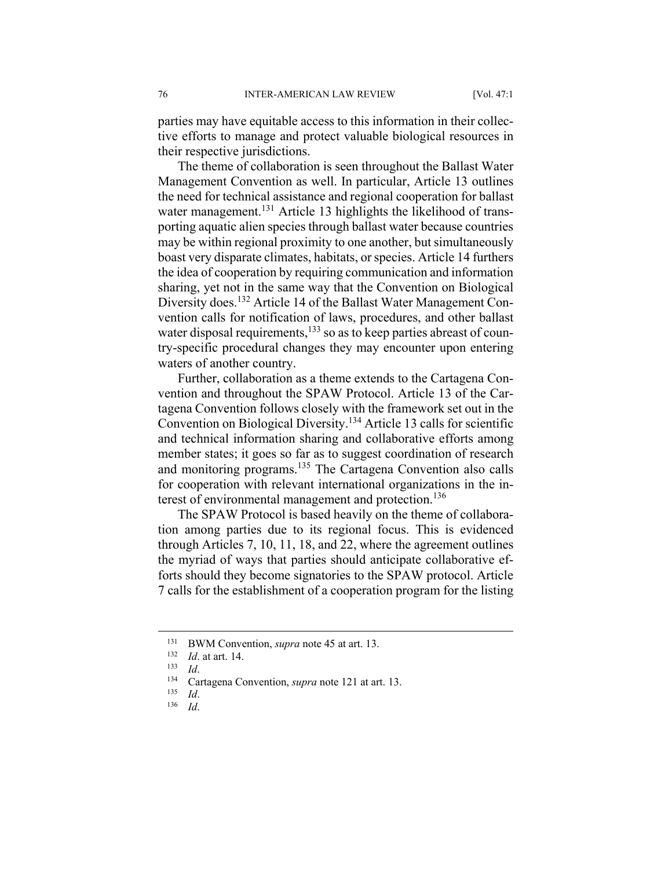parties may have equitable access to this information in their collective efforts to manage and protect valuable biological resources in their respective jurisdictions.

The theme of collaboration is seen throughout the Ballast Water Management Convention as well. In particular, Article 13 outlines the need for technical assistance and regional cooperation for ballast water management.<sup>131</sup> Article 13 highlights the likelihood of transporting aquatic alien species through ballast water because countries may be within regional proximity to one another, but simultaneously boast very disparate climates, habitats, or species. Article 14 furthers the idea of cooperation by requiring communication and information sharing, yet not in the same way that the Convention on Biological Diversity does.<sup>132</sup> Article 14 of the Ballast Water Management Convention calls for notification of laws, procedures, and other ballast water disposal requirements, $133$  so as to keep parties abreast of country-specific procedural changes they may encounter upon entering waters of another country.

Further, collaboration as a theme extends to the Cartagena Convention and throughout the SPAW Protocol. Article 13 of the Cartagena Convention follows closely with the framework set out in the Convention on Biological Diversity.134 Article 13 calls for scientific and technical information sharing and collaborative efforts among member states; it goes so far as to suggest coordination of research and monitoring programs.135 The Cartagena Convention also calls for cooperation with relevant international organizations in the interest of environmental management and protection.<sup>136</sup>

The SPAW Protocol is based heavily on the theme of collaboration among parties due to its regional focus. This is evidenced through Articles 7, 10, 11, 18, and 22, where the agreement outlines the myriad of ways that parties should anticipate collaborative efforts should they become signatories to the SPAW protocol. Article 7 calls for the establishment of a cooperation program for the listing

<sup>131</sup> BWM Convention, *supra* note 45 at art. 13.<br>
132 *Id.* at art. 14.<br>
133 *Id.* Cartagena Convention, *supra* note 121 at art. 13.<br>
135 *Id.* 136 *Id.*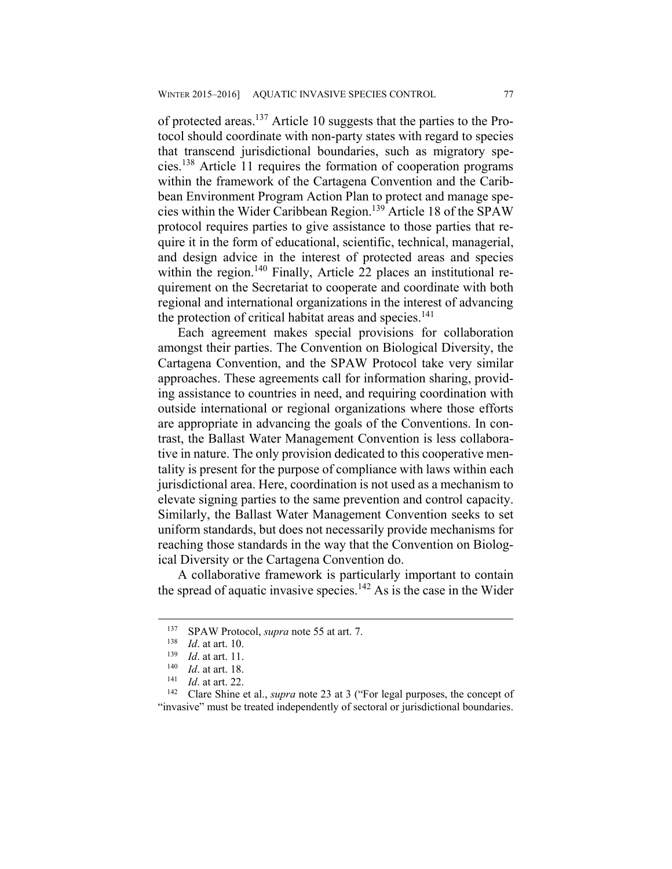of protected areas.137 Article 10 suggests that the parties to the Protocol should coordinate with non-party states with regard to species that transcend jurisdictional boundaries, such as migratory species.138 Article 11 requires the formation of cooperation programs within the framework of the Cartagena Convention and the Caribbean Environment Program Action Plan to protect and manage species within the Wider Caribbean Region.139 Article 18 of the SPAW protocol requires parties to give assistance to those parties that require it in the form of educational, scientific, technical, managerial, and design advice in the interest of protected areas and species within the region.<sup>140</sup> Finally, Article 22 places an institutional requirement on the Secretariat to cooperate and coordinate with both regional and international organizations in the interest of advancing the protection of critical habitat areas and species.<sup>141</sup>

Each agreement makes special provisions for collaboration amongst their parties. The Convention on Biological Diversity, the Cartagena Convention, and the SPAW Protocol take very similar approaches. These agreements call for information sharing, providing assistance to countries in need, and requiring coordination with outside international or regional organizations where those efforts are appropriate in advancing the goals of the Conventions. In contrast, the Ballast Water Management Convention is less collaborative in nature. The only provision dedicated to this cooperative mentality is present for the purpose of compliance with laws within each jurisdictional area. Here, coordination is not used as a mechanism to elevate signing parties to the same prevention and control capacity. Similarly, the Ballast Water Management Convention seeks to set uniform standards, but does not necessarily provide mechanisms for reaching those standards in the way that the Convention on Biological Diversity or the Cartagena Convention do.

A collaborative framework is particularly important to contain the spread of aquatic invasive species.<sup>142</sup> As is the case in the Wider

<sup>&</sup>lt;sup>137</sup> SPAW Protocol, *supra* note 55 at art. 7.<br>
<sup>138</sup> *Id.* at art. 10.<br>
<sup>139</sup> *Id.* at art. 11.<br>
<sup>140</sup> *Id.* at art. 18.<br>
<sup>141</sup> *Id.* at art. 22.<br>
<sup>142</sup> Clare Shine et al., *supra* note 23 at 3 ("For legal purposes, the "invasive" must be treated independently of sectoral or jurisdictional boundaries.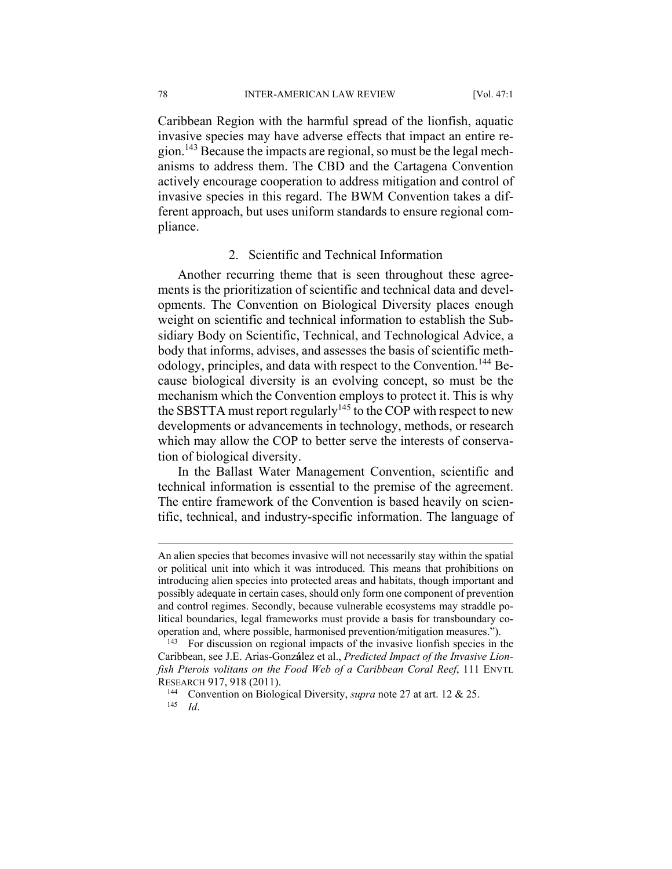78 INTER-AMERICAN LAW REVIEW [Vol. 47:1

Caribbean Region with the harmful spread of the lionfish, aquatic invasive species may have adverse effects that impact an entire region.143 Because the impacts are regional, so must be the legal mechanisms to address them. The CBD and the Cartagena Convention actively encourage cooperation to address mitigation and control of invasive species in this regard. The BWM Convention takes a different approach, but uses uniform standards to ensure regional compliance.

#### 2. Scientific and Technical Information

Another recurring theme that is seen throughout these agreements is the prioritization of scientific and technical data and developments. The Convention on Biological Diversity places enough weight on scientific and technical information to establish the Subsidiary Body on Scientific, Technical, and Technological Advice, a body that informs, advises, and assesses the basis of scientific methodology, principles, and data with respect to the Convention.<sup>144</sup> Because biological diversity is an evolving concept, so must be the mechanism which the Convention employs to protect it. This is why the SBSTTA must report regularly<sup>145</sup> to the COP with respect to new developments or advancements in technology, methods, or research which may allow the COP to better serve the interests of conservation of biological diversity.

In the Ballast Water Management Convention, scientific and technical information is essential to the premise of the agreement. The entire framework of the Convention is based heavily on scientific, technical, and industry-specific information. The language of

1

An alien species that becomes invasive will not necessarily stay within the spatial or political unit into which it was introduced. This means that prohibitions on introducing alien species into protected areas and habitats, though important and possibly adequate in certain cases, should only form one component of prevention and control regimes. Secondly, because vulnerable ecosystems may straddle political boundaries, legal frameworks must provide a basis for transboundary cooperation and, where possible, harmonised prevention/mitigation measures.").<br><sup>143</sup> For discussion on regional impacts of the invasive lionfish species in the

Caribbean, see J.E. Arias-Gonz**á**lez et al., *Predicted Impact of the Invasive Lionfish Pterois volitans on the Food Web of a Caribbean Coral Reef*, 111 ENVTL

RESEARCH 917, 918 (2011).<br><sup>144</sup> Convention on Biological Diversity, *supra* note 27 at art. 12 & 25.<br><sup>145</sup> *Id*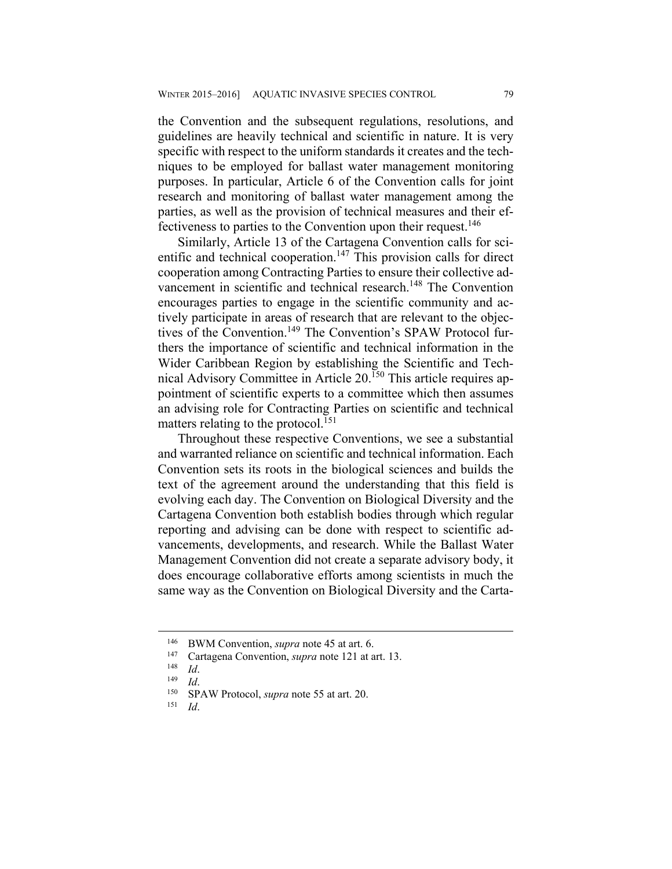the Convention and the subsequent regulations, resolutions, and guidelines are heavily technical and scientific in nature. It is very specific with respect to the uniform standards it creates and the techniques to be employed for ballast water management monitoring purposes. In particular, Article 6 of the Convention calls for joint research and monitoring of ballast water management among the parties, as well as the provision of technical measures and their effectiveness to parties to the Convention upon their request.<sup>146</sup>

Similarly, Article 13 of the Cartagena Convention calls for scientific and technical cooperation.<sup>147</sup> This provision calls for direct cooperation among Contracting Parties to ensure their collective advancement in scientific and technical research.<sup>148</sup> The Convention encourages parties to engage in the scientific community and actively participate in areas of research that are relevant to the objectives of the Convention.<sup>149</sup> The Convention's SPAW Protocol furthers the importance of scientific and technical information in the Wider Caribbean Region by establishing the Scientific and Technical Advisory Committee in Article 20.150 This article requires appointment of scientific experts to a committee which then assumes an advising role for Contracting Parties on scientific and technical matters relating to the protocol.<sup>151</sup>

Throughout these respective Conventions, we see a substantial and warranted reliance on scientific and technical information. Each Convention sets its roots in the biological sciences and builds the text of the agreement around the understanding that this field is evolving each day. The Convention on Biological Diversity and the Cartagena Convention both establish bodies through which regular reporting and advising can be done with respect to scientific advancements, developments, and research. While the Ballast Water Management Convention did not create a separate advisory body, it does encourage collaborative efforts among scientists in much the same way as the Convention on Biological Diversity and the Carta-

<sup>146</sup> BWM Convention, *supra* note 45 at art. 6.<br>
147 Cartagena Convention, *supra* note 121 at art. 13.<br>
149 *Id*. 150 SPAW Protocol, *supra* note 55 at art. 20.<br>
151 *Id*.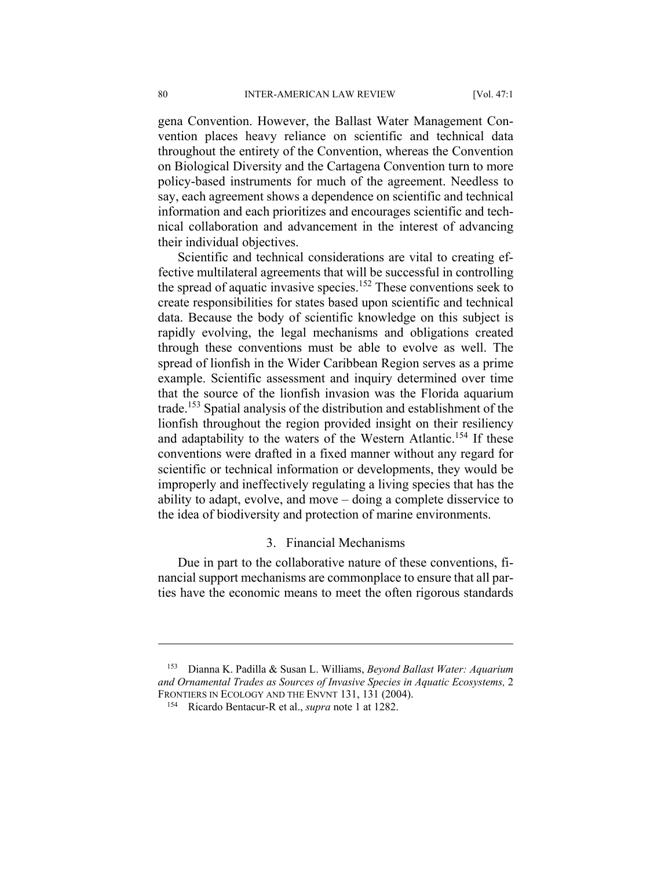gena Convention. However, the Ballast Water Management Convention places heavy reliance on scientific and technical data throughout the entirety of the Convention, whereas the Convention on Biological Diversity and the Cartagena Convention turn to more policy-based instruments for much of the agreement. Needless to say, each agreement shows a dependence on scientific and technical information and each prioritizes and encourages scientific and technical collaboration and advancement in the interest of advancing their individual objectives.

Scientific and technical considerations are vital to creating effective multilateral agreements that will be successful in controlling the spread of aquatic invasive species.<sup>152</sup> These conventions seek to create responsibilities for states based upon scientific and technical data. Because the body of scientific knowledge on this subject is rapidly evolving, the legal mechanisms and obligations created through these conventions must be able to evolve as well. The spread of lionfish in the Wider Caribbean Region serves as a prime example. Scientific assessment and inquiry determined over time that the source of the lionfish invasion was the Florida aquarium trade.153 Spatial analysis of the distribution and establishment of the lionfish throughout the region provided insight on their resiliency and adaptability to the waters of the Western Atlantic.<sup>154</sup> If these conventions were drafted in a fixed manner without any regard for scientific or technical information or developments, they would be improperly and ineffectively regulating a living species that has the ability to adapt, evolve, and move – doing a complete disservice to the idea of biodiversity and protection of marine environments.

#### 3. Financial Mechanisms

Due in part to the collaborative nature of these conventions, financial support mechanisms are commonplace to ensure that all parties have the economic means to meet the often rigorous standards

<sup>153</sup> Dianna K. Padilla & Susan L. Williams, *Beyond Ballast Water: Aquarium*  and Ornamental Trades as Sources of Invasive Species in Aquatic Ecosystems, 2 FRONTIERS IN ECOLOGY AND THE ENVNT 131, 131 (2004).

<sup>&</sup>lt;sup>154</sup> Ricardo Bentacur-R et al., *supra* note 1 at 1282.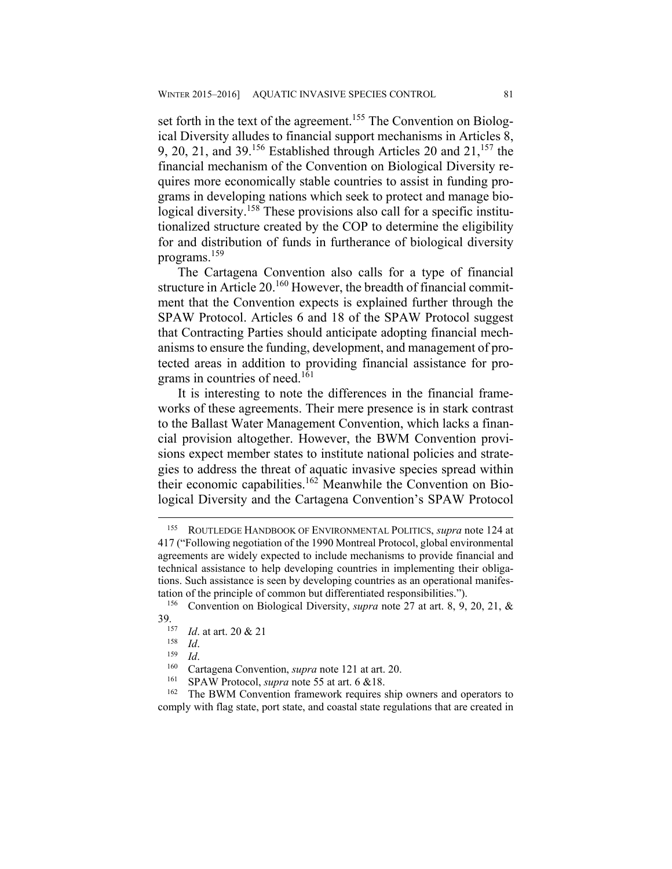set forth in the text of the agreement.<sup>155</sup> The Convention on Biological Diversity alludes to financial support mechanisms in Articles 8, 9, 20, 21, and 39.<sup>156</sup> Established through Articles 20 and  $21$ , <sup>157</sup> the financial mechanism of the Convention on Biological Diversity requires more economically stable countries to assist in funding programs in developing nations which seek to protect and manage biological diversity.<sup>158</sup> These provisions also call for a specific institutionalized structure created by the COP to determine the eligibility for and distribution of funds in furtherance of biological diversity programs.159

The Cartagena Convention also calls for a type of financial structure in Article 20.<sup>160</sup> However, the breadth of financial commitment that the Convention expects is explained further through the SPAW Protocol. Articles 6 and 18 of the SPAW Protocol suggest that Contracting Parties should anticipate adopting financial mechanisms to ensure the funding, development, and management of protected areas in addition to providing financial assistance for programs in countries of need.<sup>161</sup>

It is interesting to note the differences in the financial frameworks of these agreements. Their mere presence is in stark contrast to the Ballast Water Management Convention, which lacks a financial provision altogether. However, the BWM Convention provisions expect member states to institute national policies and strategies to address the threat of aquatic invasive species spread within their economic capabilities.<sup>162</sup> Meanwhile the Convention on Biological Diversity and the Cartagena Convention's SPAW Protocol

<sup>155</sup> ROUTLEDGE HANDBOOK OF ENVIRONMENTAL POLITICS, *supra* note 124 at 417 ("Following negotiation of the 1990 Montreal Protocol, global environmental agreements are widely expected to include mechanisms to provide financial and technical assistance to help developing countries in implementing their obligations. Such assistance is seen by developing countries as an operational manifestation of the principle of common but differentiated responsibilities.").<br><sup>156</sup> Convention on Biological Diversity, *supra* note 27 at art. 8, 9, 20, 21, &

<sup>39.&</sup>lt;br>
<sup>157</sup> *Id.* at art. 20 & 21<br>
<sup>158</sup> *Id.*<br>
<sup>158</sup> *Id.*<br>
<sup>159</sup> *Id.*<br>
Cartagena Convention, *supra* note 121 at art. 20.<br>
<sup>160</sup> CPAW Protocol, *supra* note 55 at art. 6 & 18.<br>
<sup>162</sup> The BWM Convention framework require comply with flag state, port state, and coastal state regulations that are created in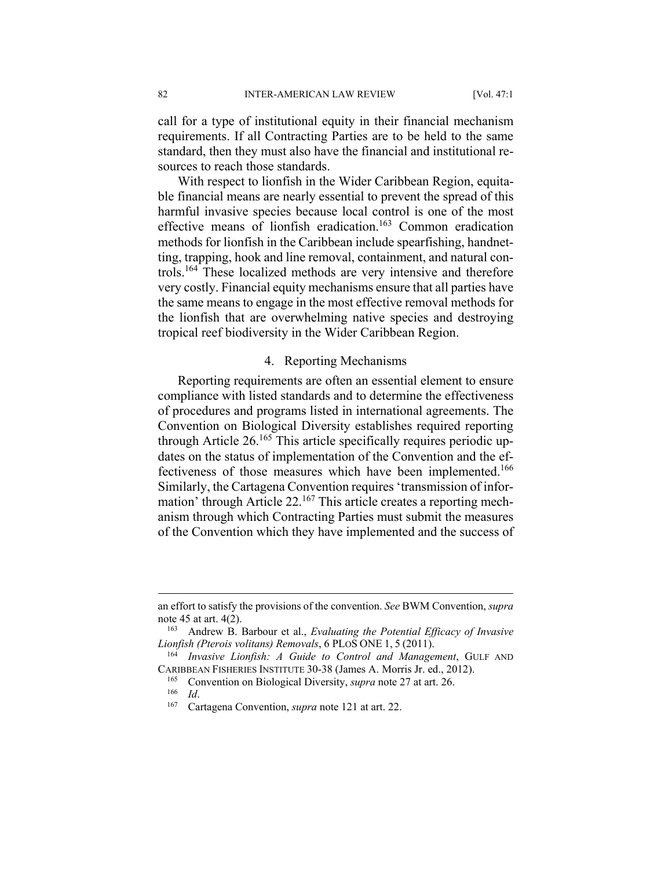call for a type of institutional equity in their financial mechanism requirements. If all Contracting Parties are to be held to the same standard, then they must also have the financial and institutional resources to reach those standards.

With respect to lionfish in the Wider Caribbean Region, equitable financial means are nearly essential to prevent the spread of this harmful invasive species because local control is one of the most effective means of lionfish eradication.<sup>163</sup> Common eradication methods for lionfish in the Caribbean include spearfishing, handnetting, trapping, hook and line removal, containment, and natural controls.164 These localized methods are very intensive and therefore very costly. Financial equity mechanisms ensure that all parties have the same means to engage in the most effective removal methods for the lionfish that are overwhelming native species and destroying tropical reef biodiversity in the Wider Caribbean Region.

#### 4. Reporting Mechanisms

Reporting requirements are often an essential element to ensure compliance with listed standards and to determine the effectiveness of procedures and programs listed in international agreements. The Convention on Biological Diversity establishes required reporting through Article  $26.165$  This article specifically requires periodic updates on the status of implementation of the Convention and the effectiveness of those measures which have been implemented.<sup>166</sup> Similarly, the Cartagena Convention requires 'transmission of information' through Article 22.167 This article creates a reporting mechanism through which Contracting Parties must submit the measures of the Convention which they have implemented and the success of

an effort to satisfy the provisions of the convention. *See* BWM Convention, *supra* note 45 at art. 4(2).<br><sup>163</sup> Andrew B. Barbour et al., *Evaluating the Potential Efficacy of Invasive* 

*Lionfish (Pterois volitans) Removals*, 6 PLOS ONE 1, <sup>5</sup> (2011). 164 *Invasive Lionfish: A Guide to Control and Management*, GULF AND

CARIBBEAN FISHERIES INSTITUTE 30-38 (James A. Morris Jr. ed., 2012). 165 Convention on Biological Diversity, *supra* note 27 at art. 26. 166 *Id*. 167 Cartagena Convention, *supra* note 121 at art. 22.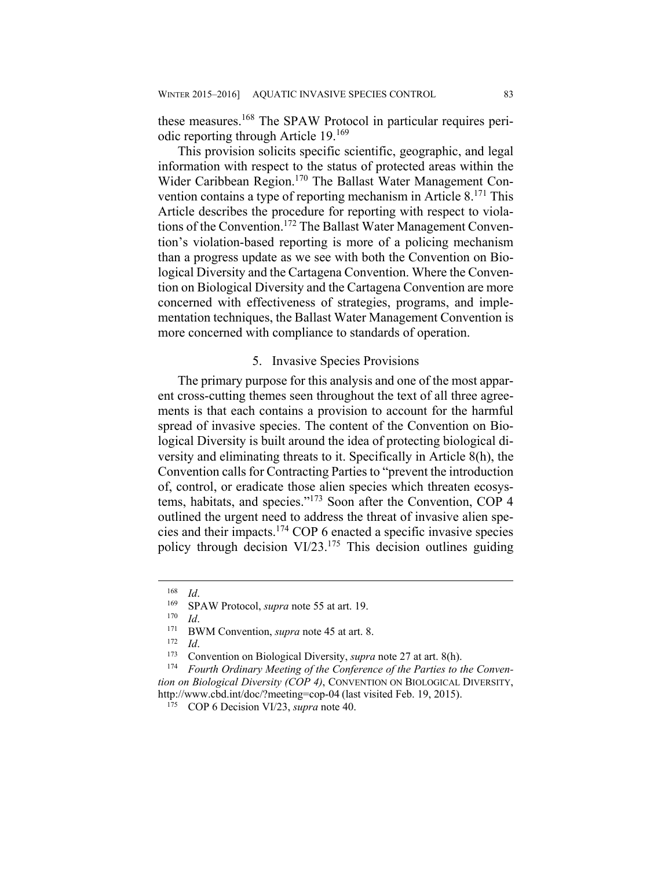these measures.168 The SPAW Protocol in particular requires periodic reporting through Article 19.169

This provision solicits specific scientific, geographic, and legal information with respect to the status of protected areas within the Wider Caribbean Region.<sup>170</sup> The Ballast Water Management Convention contains a type of reporting mechanism in Article 8.<sup>171</sup> This Article describes the procedure for reporting with respect to violations of the Convention.<sup>172</sup> The Ballast Water Management Convention's violation-based reporting is more of a policing mechanism than a progress update as we see with both the Convention on Biological Diversity and the Cartagena Convention. Where the Convention on Biological Diversity and the Cartagena Convention are more concerned with effectiveness of strategies, programs, and implementation techniques, the Ballast Water Management Convention is more concerned with compliance to standards of operation.

#### 5. Invasive Species Provisions

The primary purpose for this analysis and one of the most apparent cross-cutting themes seen throughout the text of all three agreements is that each contains a provision to account for the harmful spread of invasive species. The content of the Convention on Biological Diversity is built around the idea of protecting biological diversity and eliminating threats to it. Specifically in Article 8(h), the Convention calls for Contracting Parties to "prevent the introduction of, control, or eradicate those alien species which threaten ecosystems, habitats, and species."173 Soon after the Convention, COP 4 outlined the urgent need to address the threat of invasive alien species and their impacts.174 COP 6 enacted a specific invasive species policy through decision  $VI/23$ <sup>175</sup>. This decision outlines guiding

<sup>&</sup>lt;sup>168</sup> *Id.*<br>
<sup>169</sup> SPAW Protocol, *supra* note 55 at art. 19.<br>
<sup>170</sup> *Id.*<br>
<sup>171</sup> BWM Convention, *supra* note 45 at art. 8.<br>
<sup>172</sup> *Id.*<br>
Convention on Biological Diversity, *supra* note 27 at art. 8(h).<br>
<sup>174</sup> *Fourth Or tion on Biological Diversity (COP 4)*, CONVENTION ON BIOLOGICAL DIVERSITY, http://www.cbd.int/doc/?meeting=cop-04 (last visited Feb. 19, 2015). 175 COP 6 Decision VI/23, *supra* note 40.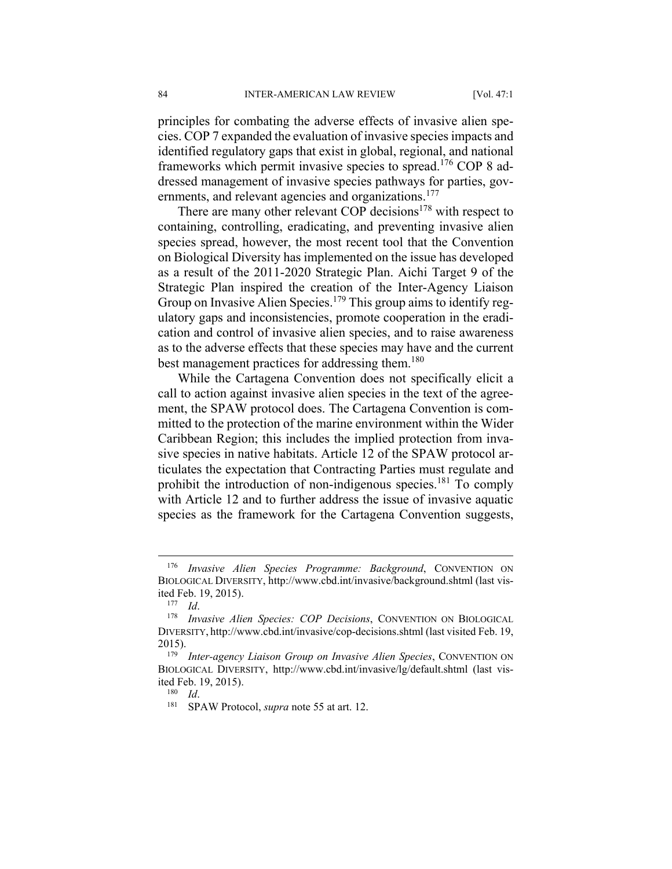principles for combating the adverse effects of invasive alien species. COP 7 expanded the evaluation of invasive species impacts and identified regulatory gaps that exist in global, regional, and national frameworks which permit invasive species to spread.<sup>176</sup> COP 8 addressed management of invasive species pathways for parties, governments, and relevant agencies and organizations.<sup>177</sup>

There are many other relevant COP decisions $178$  with respect to containing, controlling, eradicating, and preventing invasive alien species spread, however, the most recent tool that the Convention on Biological Diversity has implemented on the issue has developed as a result of the 2011-2020 Strategic Plan. Aichi Target 9 of the Strategic Plan inspired the creation of the Inter-Agency Liaison Group on Invasive Alien Species.<sup>179</sup> This group aims to identify regulatory gaps and inconsistencies, promote cooperation in the eradication and control of invasive alien species, and to raise awareness as to the adverse effects that these species may have and the current best management practices for addressing them.<sup>180</sup>

While the Cartagena Convention does not specifically elicit a call to action against invasive alien species in the text of the agreement, the SPAW protocol does. The Cartagena Convention is committed to the protection of the marine environment within the Wider Caribbean Region; this includes the implied protection from invasive species in native habitats. Article 12 of the SPAW protocol articulates the expectation that Contracting Parties must regulate and prohibit the introduction of non-indigenous species.<sup>181</sup> To comply with Article 12 and to further address the issue of invasive aquatic species as the framework for the Cartagena Convention suggests,

<sup>176</sup> *Invasive Alien Species Programme: Background*, CONVENTION ON BIOLOGICAL DIVERSITY, http://www.cbd.int/invasive/background.shtml (last visited Feb. 19, 2015). 177 *Id*. 178 *Invasive Alien Species: COP Decisions*, CONVENTION ON BIOLOGICAL

DIVERSITY, http://www.cbd.int/invasive/cop-decisions.shtml (last visited Feb. 19, 2015). 179 *Inter-agency Liaison Group on Invasive Alien Species*, CONVENTION ON

BIOLOGICAL DIVERSITY, http://www.cbd.int/invasive/lg/default.shtml (last visited Feb. 19, 2015). 180 *Id*. 181 SPAW Protocol, *supra* note 55 at art. 12.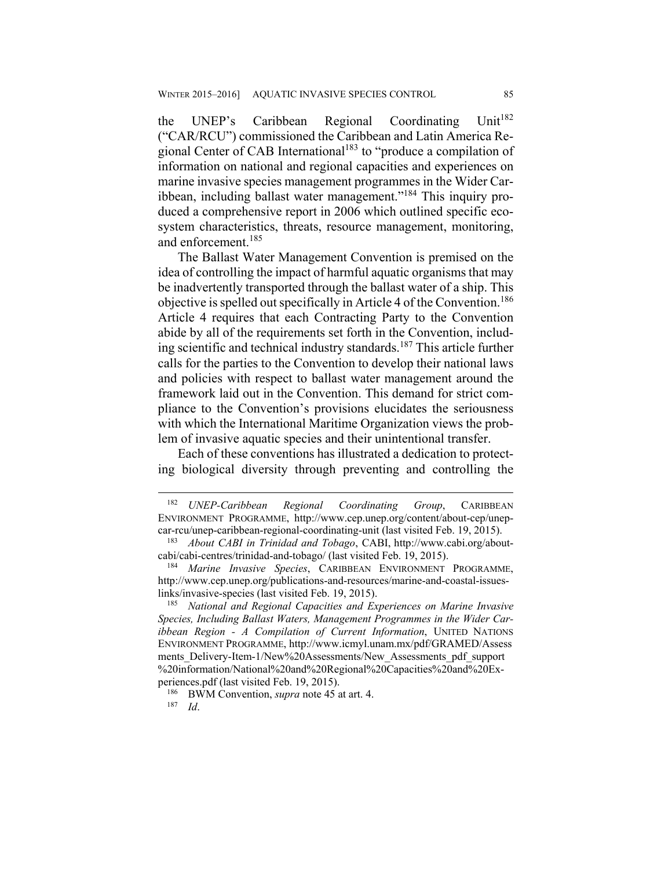the UNEP's Caribbean Regional Coordinating Unit<sup>182</sup> ("CAR/RCU") commissioned the Caribbean and Latin America Regional Center of CAB International<sup>183</sup> to "produce a compilation of information on national and regional capacities and experiences on marine invasive species management programmes in the Wider Caribbean, including ballast water management."184 This inquiry produced a comprehensive report in 2006 which outlined specific ecosystem characteristics, threats, resource management, monitoring, and enforcement.<sup>185</sup>

The Ballast Water Management Convention is premised on the idea of controlling the impact of harmful aquatic organisms that may be inadvertently transported through the ballast water of a ship. This objective is spelled out specifically in Article 4 of the Convention.<sup>186</sup> Article 4 requires that each Contracting Party to the Convention abide by all of the requirements set forth in the Convention, including scientific and technical industry standards.<sup>187</sup> This article further calls for the parties to the Convention to develop their national laws and policies with respect to ballast water management around the framework laid out in the Convention. This demand for strict compliance to the Convention's provisions elucidates the seriousness with which the International Maritime Organization views the problem of invasive aquatic species and their unintentional transfer.

Each of these conventions has illustrated a dedication to protecting biological diversity through preventing and controlling the

<sup>182</sup> *UNEP-Caribbean Regional Coordinating Group*, CARIBBEAN ENVIRONMENT PROGRAMME, http://www.cep.unep.org/content/about-cep/unepcar-rcu/unep-caribbean-regional-coordinating-unit (last visited Feb. 19, 2015). 183 *About CABI in Trinidad and Tobago*, CABI, http://www.cabi.org/about-

cabi/cabi-centres/trinidad-and-tobago/ (last visited Feb. 19, 2015). 184 *Marine Invasive Species*, CARIBBEAN ENVIRONMENT PROGRAMME,

http://www.cep.unep.org/publications-and-resources/marine-and-coastal-issueslinks/invasive-species (last visited Feb. 19, 2015). 185 *National and Regional Capacities and Experiences on Marine Invasive* 

*Species, Including Ballast Waters, Management Programmes in the Wider Caribbean Region - A Compilation of Current Information*, UNITED NATIONS ENVIRONMENT PROGRAMME, http://www.icmyl.unam.mx/pdf/GRAMED/Assess ments\_Delivery-Item-1/New%20Assessments/New\_Assessments\_pdf\_support %20information/National%20and%20Regional%20Capacities%20and%20Experiences.pdf (last visited Feb. 19, 2015).<br><sup>186</sup> BWM Convention, *supra* note 45 at art. 4.<br><sup>187</sup> Id.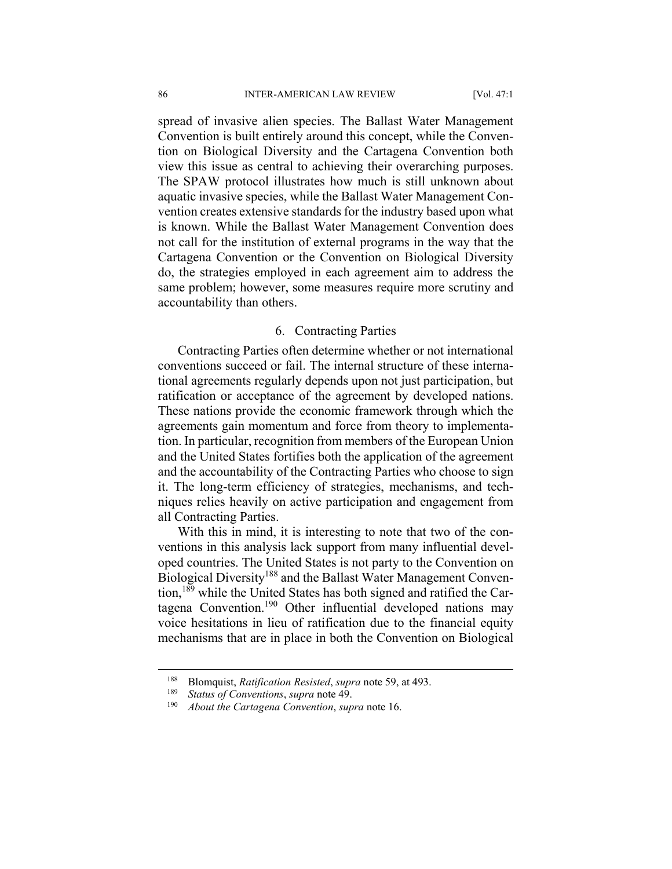spread of invasive alien species. The Ballast Water Management Convention is built entirely around this concept, while the Convention on Biological Diversity and the Cartagena Convention both view this issue as central to achieving their overarching purposes. The SPAW protocol illustrates how much is still unknown about aquatic invasive species, while the Ballast Water Management Convention creates extensive standards for the industry based upon what is known. While the Ballast Water Management Convention does not call for the institution of external programs in the way that the Cartagena Convention or the Convention on Biological Diversity do, the strategies employed in each agreement aim to address the same problem; however, some measures require more scrutiny and accountability than others.

#### 6. Contracting Parties

Contracting Parties often determine whether or not international conventions succeed or fail. The internal structure of these international agreements regularly depends upon not just participation, but ratification or acceptance of the agreement by developed nations. These nations provide the economic framework through which the agreements gain momentum and force from theory to implementation. In particular, recognition from members of the European Union and the United States fortifies both the application of the agreement and the accountability of the Contracting Parties who choose to sign it. The long-term efficiency of strategies, mechanisms, and techniques relies heavily on active participation and engagement from all Contracting Parties.

With this in mind, it is interesting to note that two of the conventions in this analysis lack support from many influential developed countries. The United States is not party to the Convention on Biological Diversity<sup>188</sup> and the Ballast Water Management Convention,<sup>189</sup> while the United States has both signed and ratified the Cartagena Convention.190 Other influential developed nations may voice hesitations in lieu of ratification due to the financial equity mechanisms that are in place in both the Convention on Biological

<sup>188</sup> Blomquist, *Ratification Resisted*, *supra* note 59, at 493. 189 *Status of Conventions*, *supra* note 49.

<sup>190</sup> *About the Cartagena Convention*, *supra* note 16.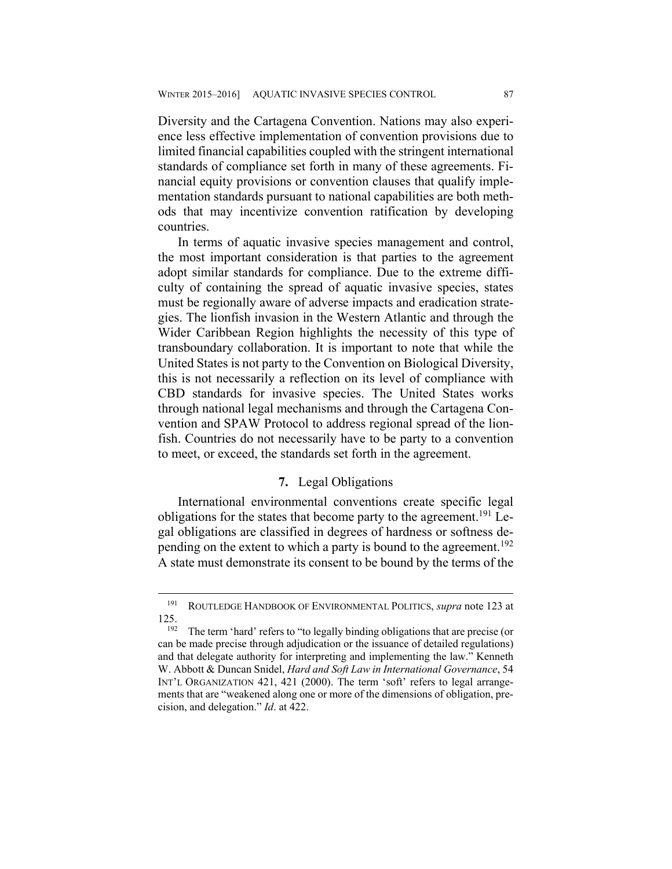Diversity and the Cartagena Convention. Nations may also experience less effective implementation of convention provisions due to limited financial capabilities coupled with the stringent international standards of compliance set forth in many of these agreements. Financial equity provisions or convention clauses that qualify implementation standards pursuant to national capabilities are both methods that may incentivize convention ratification by developing countries.

In terms of aquatic invasive species management and control, the most important consideration is that parties to the agreement adopt similar standards for compliance. Due to the extreme difficulty of containing the spread of aquatic invasive species, states must be regionally aware of adverse impacts and eradication strategies. The lionfish invasion in the Western Atlantic and through the Wider Caribbean Region highlights the necessity of this type of transboundary collaboration. It is important to note that while the United States is not party to the Convention on Biological Diversity, this is not necessarily a reflection on its level of compliance with CBD standards for invasive species. The United States works through national legal mechanisms and through the Cartagena Convention and SPAW Protocol to address regional spread of the lionfish. Countries do not necessarily have to be party to a convention to meet, or exceed, the standards set forth in the agreement.

### **7.** Legal Obligations

International environmental conventions create specific legal obligations for the states that become party to the agreement.<sup>191</sup> Legal obligations are classified in degrees of hardness or softness depending on the extent to which a party is bound to the agreement.<sup>192</sup> A state must demonstrate its consent to be bound by the terms of the

<sup>191</sup> ROUTLEDGE HANDBOOK OF ENVIRONMENTAL POLITICS, *supra* note 123 at 125. 192 The term 'hard' refers to "to legally binding obligations that are precise (or

can be made precise through adjudication or the issuance of detailed regulations) and that delegate authority for interpreting and implementing the law." Kenneth W. Abbott & Duncan Snidel, *Hard and Soft Law in International Governance*, 54 INT'L ORGANIZATION 421, 421 (2000). The term 'soft' refers to legal arrangements that are "weakened along one or more of the dimensions of obligation, precision, and delegation." *Id*. at 422.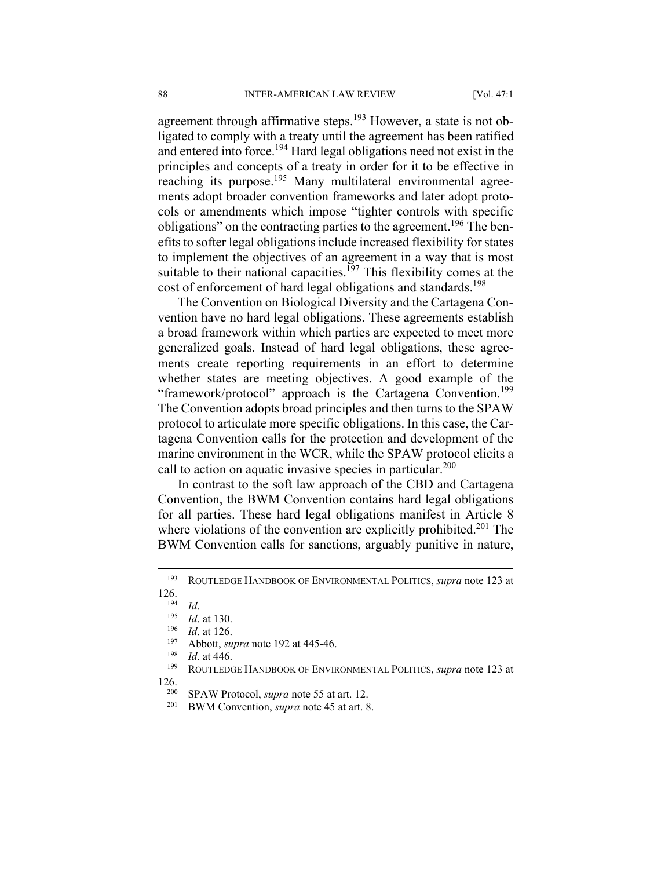agreement through affirmative steps.<sup>193</sup> However, a state is not obligated to comply with a treaty until the agreement has been ratified and entered into force.194 Hard legal obligations need not exist in the principles and concepts of a treaty in order for it to be effective in reaching its purpose.<sup>195</sup> Many multilateral environmental agreements adopt broader convention frameworks and later adopt protocols or amendments which impose "tighter controls with specific obligations" on the contracting parties to the agreement.<sup>196</sup> The benefits to softer legal obligations include increased flexibility for states to implement the objectives of an agreement in a way that is most suitable to their national capacities.<sup>197</sup> This flexibility comes at the cost of enforcement of hard legal obligations and standards.<sup>198</sup>

The Convention on Biological Diversity and the Cartagena Convention have no hard legal obligations. These agreements establish a broad framework within which parties are expected to meet more generalized goals. Instead of hard legal obligations, these agreements create reporting requirements in an effort to determine whether states are meeting objectives. A good example of the "framework/protocol" approach is the Cartagena Convention.<sup>199</sup> The Convention adopts broad principles and then turns to the SPAW protocol to articulate more specific obligations. In this case, the Cartagena Convention calls for the protection and development of the marine environment in the WCR, while the SPAW protocol elicits a call to action on aquatic invasive species in particular.<sup>200</sup>

In contrast to the soft law approach of the CBD and Cartagena Convention, the BWM Convention contains hard legal obligations for all parties. These hard legal obligations manifest in Article 8 where violations of the convention are explicitly prohibited.<sup>201</sup> The BWM Convention calls for sanctions, arguably punitive in nature,

<sup>193</sup> ROUTLEDGE HANDBOOK OF ENVIRONMENTAL POLITICS, *supra* note 123 at

<sup>126.&</sup>lt;br><sup>194</sup> *Id.* at 130.<br><sup>195</sup> *Id.* at 126.<br><sup>197</sup> Abbott, *supra* note 192 at 445-46.<br><sup>198</sup> *Id.* at 446.<br><sup>199</sup> ROUTLEDGE HANDBOOK OF ENVIRONMENTAL POLITICS, *supra* note 123 at

<sup>126. 200</sup> SPAW Protocol, *supra* note 55 at art. 12. 201 BWM Convention, *supra* note 45 at art. 8.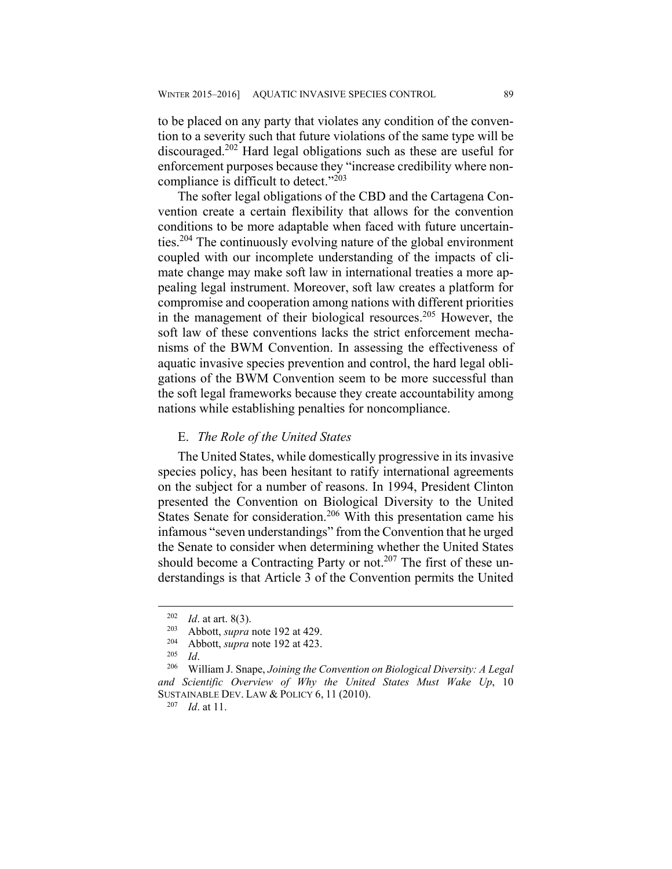to be placed on any party that violates any condition of the convention to a severity such that future violations of the same type will be discouraged.202 Hard legal obligations such as these are useful for enforcement purposes because they "increase credibility where noncompliance is difficult to detect."<sup>203</sup>

The softer legal obligations of the CBD and the Cartagena Convention create a certain flexibility that allows for the convention conditions to be more adaptable when faced with future uncertainties.204 The continuously evolving nature of the global environment coupled with our incomplete understanding of the impacts of climate change may make soft law in international treaties a more appealing legal instrument. Moreover, soft law creates a platform for compromise and cooperation among nations with different priorities in the management of their biological resources.205 However, the soft law of these conventions lacks the strict enforcement mechanisms of the BWM Convention. In assessing the effectiveness of aquatic invasive species prevention and control, the hard legal obligations of the BWM Convention seem to be more successful than the soft legal frameworks because they create accountability among nations while establishing penalties for noncompliance.

#### E. *The Role of the United States*

The United States, while domestically progressive in its invasive species policy, has been hesitant to ratify international agreements on the subject for a number of reasons. In 1994, President Clinton presented the Convention on Biological Diversity to the United States Senate for consideration.<sup>206</sup> With this presentation came his infamous "seven understandings" from the Convention that he urged the Senate to consider when determining whether the United States should become a Contracting Party or not.<sup>207</sup> The first of these understandings is that Article 3 of the Convention permits the United

<u>.</u>

<sup>202</sup> *Id*. at art. 8(3). 203 Abbott, *supra* note 192 at 429. 204 Abbott, *supra* note 192 at 423. 205 *Id*. 206 William J. Snape, *Joining the Convention on Biological Diversity: A Legal and Scientific Overview of Why the United States Must Wake Up*, 10 SUSTAINABLE DEV. LAW & POLICY 6, <sup>11</sup> (2010). 207 *Id*. at 11.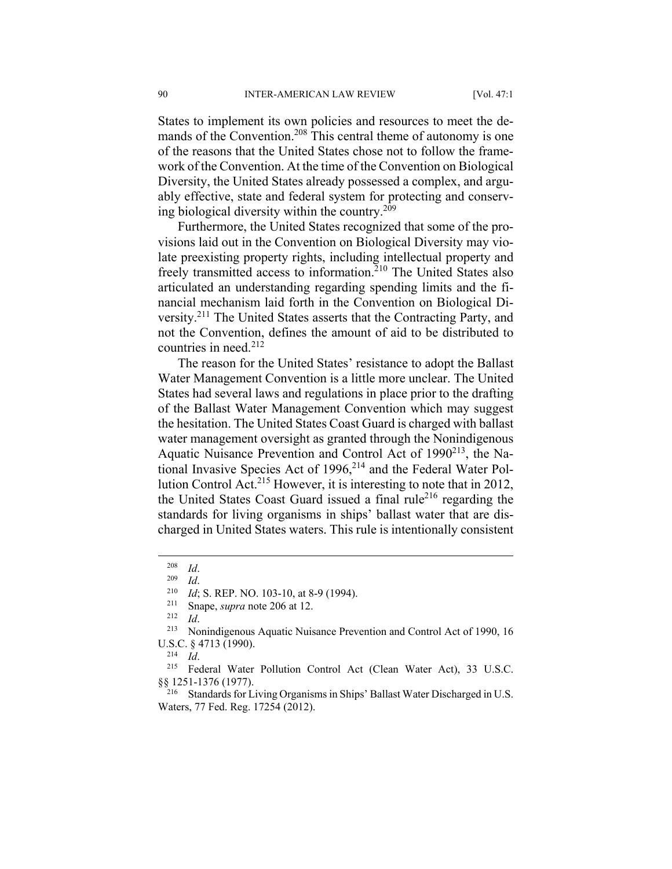States to implement its own policies and resources to meet the demands of the Convention.<sup>208</sup> This central theme of autonomy is one of the reasons that the United States chose not to follow the framework of the Convention. At the time of the Convention on Biological Diversity, the United States already possessed a complex, and arguably effective, state and federal system for protecting and conserving biological diversity within the country.<sup>209</sup>

Furthermore, the United States recognized that some of the provisions laid out in the Convention on Biological Diversity may violate preexisting property rights, including intellectual property and freely transmitted access to information.<sup>210</sup> The United States also articulated an understanding regarding spending limits and the financial mechanism laid forth in the Convention on Biological Diversity.211 The United States asserts that the Contracting Party, and not the Convention, defines the amount of aid to be distributed to countries in need.<sup>212</sup>

The reason for the United States' resistance to adopt the Ballast Water Management Convention is a little more unclear. The United States had several laws and regulations in place prior to the drafting of the Ballast Water Management Convention which may suggest the hesitation. The United States Coast Guard is charged with ballast water management oversight as granted through the Nonindigenous Aquatic Nuisance Prevention and Control Act of 1990<sup>213</sup>, the National Invasive Species Act of 1996,<sup>214</sup> and the Federal Water Pollution Control Act.215 However, it is interesting to note that in 2012, the United States Coast Guard issued a final rule<sup>216</sup> regarding the standards for living organisms in ships' ballast water that are discharged in United States waters. This rule is intentionally consistent

<sup>208</sup> *Id.*<br>
<sup>209</sup> *Id*. 200 *Id*; S. REP. NO. 103-10, at 8-9 (1994).<br>
<sup>211</sup> Snape, *supra* note 206 at 12.<br>
<sup>212</sup> *Id.* Nonindigenous Aquatic Nuisance Prevention and Control Act of 1990, 16 U.S.C. § 4713 (1990).<br><sup>214</sup> *Id.* <sup>215</sup> Federal Water Pollution Control Act (Clean Water Act), 33 U.S.C.

<sup>§§ 1251-1376 (1977).&</sup>lt;br><sup>216</sup> Standards for Living Organisms in Ships' Ballast Water Discharged in U.S.

Waters, 77 Fed. Reg. 17254 (2012).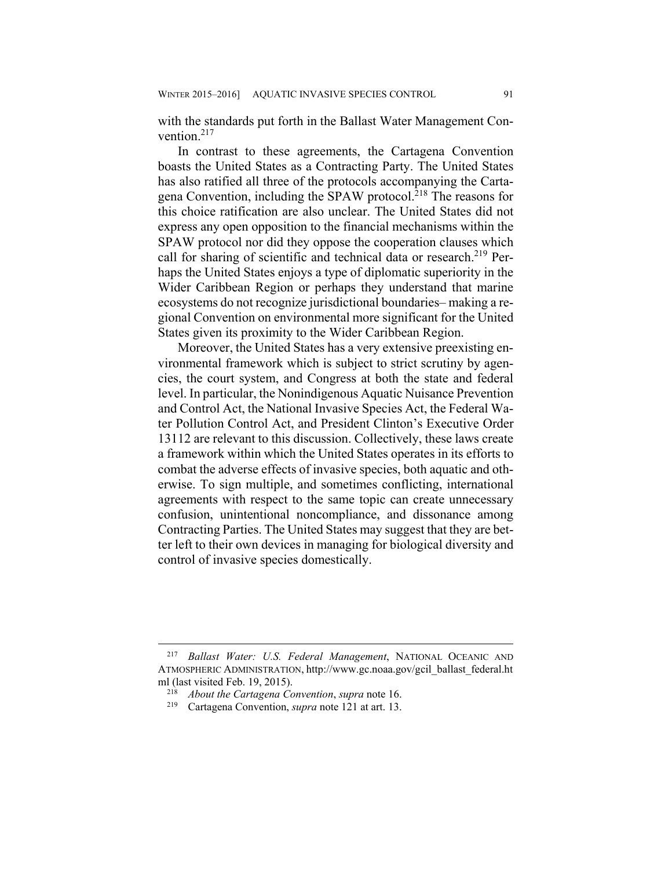with the standards put forth in the Ballast Water Management Convention $217$ 

In contrast to these agreements, the Cartagena Convention boasts the United States as a Contracting Party. The United States has also ratified all three of the protocols accompanying the Cartagena Convention, including the SPAW protocol.<sup>218</sup> The reasons for this choice ratification are also unclear. The United States did not express any open opposition to the financial mechanisms within the SPAW protocol nor did they oppose the cooperation clauses which call for sharing of scientific and technical data or research.<sup>219</sup> Perhaps the United States enjoys a type of diplomatic superiority in the Wider Caribbean Region or perhaps they understand that marine ecosystems do not recognize jurisdictional boundaries– making a regional Convention on environmental more significant for the United States given its proximity to the Wider Caribbean Region.

Moreover, the United States has a very extensive preexisting environmental framework which is subject to strict scrutiny by agencies, the court system, and Congress at both the state and federal level. In particular, the Nonindigenous Aquatic Nuisance Prevention and Control Act, the National Invasive Species Act, the Federal Water Pollution Control Act, and President Clinton's Executive Order 13112 are relevant to this discussion. Collectively, these laws create a framework within which the United States operates in its efforts to combat the adverse effects of invasive species, both aquatic and otherwise. To sign multiple, and sometimes conflicting, international agreements with respect to the same topic can create unnecessary confusion, unintentional noncompliance, and dissonance among Contracting Parties. The United States may suggest that they are better left to their own devices in managing for biological diversity and control of invasive species domestically.

<sup>217</sup> *Ballast Water: U.S. Federal Management*, NATIONAL OCEANIC AND ATMOSPHERIC ADMINISTRATION, http://www.gc.noaa.gov/gcil\_ballast\_federal.ht ml (last visited Feb. 19, 2015).<br><sup>218</sup> *About the Cartagena Convention*, *supra* note 16.<br><sup>219</sup> Cartagena Convention, *supra* note 121 at art. 13.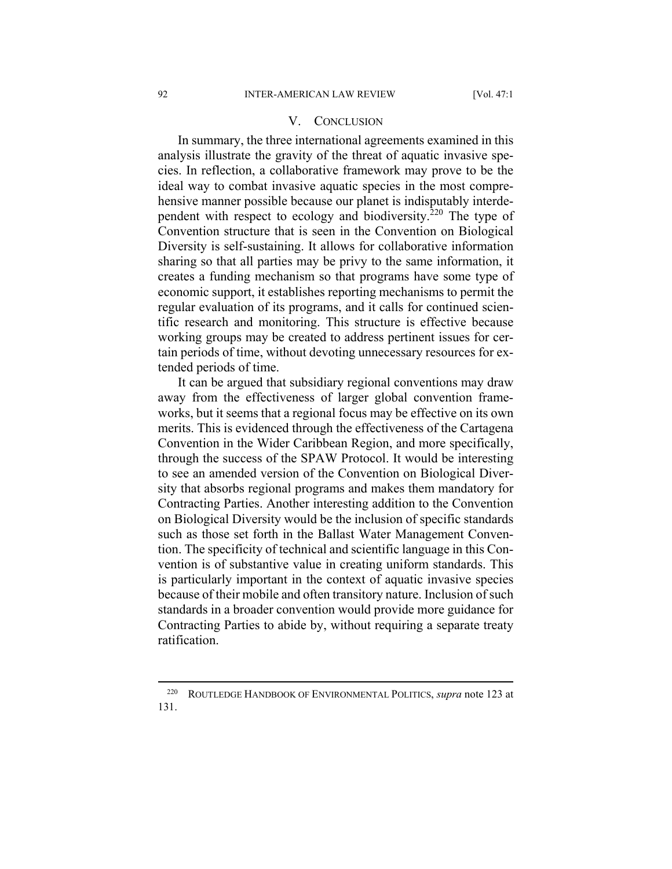#### V. CONCLUSION

In summary, the three international agreements examined in this analysis illustrate the gravity of the threat of aquatic invasive species. In reflection, a collaborative framework may prove to be the ideal way to combat invasive aquatic species in the most comprehensive manner possible because our planet is indisputably interdependent with respect to ecology and biodiversity.<sup>220</sup> The type of Convention structure that is seen in the Convention on Biological Diversity is self-sustaining. It allows for collaborative information sharing so that all parties may be privy to the same information, it creates a funding mechanism so that programs have some type of economic support, it establishes reporting mechanisms to permit the regular evaluation of its programs, and it calls for continued scientific research and monitoring. This structure is effective because working groups may be created to address pertinent issues for certain periods of time, without devoting unnecessary resources for extended periods of time.

It can be argued that subsidiary regional conventions may draw away from the effectiveness of larger global convention frameworks, but it seems that a regional focus may be effective on its own merits. This is evidenced through the effectiveness of the Cartagena Convention in the Wider Caribbean Region, and more specifically, through the success of the SPAW Protocol. It would be interesting to see an amended version of the Convention on Biological Diversity that absorbs regional programs and makes them mandatory for Contracting Parties. Another interesting addition to the Convention on Biological Diversity would be the inclusion of specific standards such as those set forth in the Ballast Water Management Convention. The specificity of technical and scientific language in this Convention is of substantive value in creating uniform standards. This is particularly important in the context of aquatic invasive species because of their mobile and often transitory nature. Inclusion of such standards in a broader convention would provide more guidance for Contracting Parties to abide by, without requiring a separate treaty ratification.

<sup>220</sup> ROUTLEDGE HANDBOOK OF ENVIRONMENTAL POLITICS, *supra* note 123 at 131.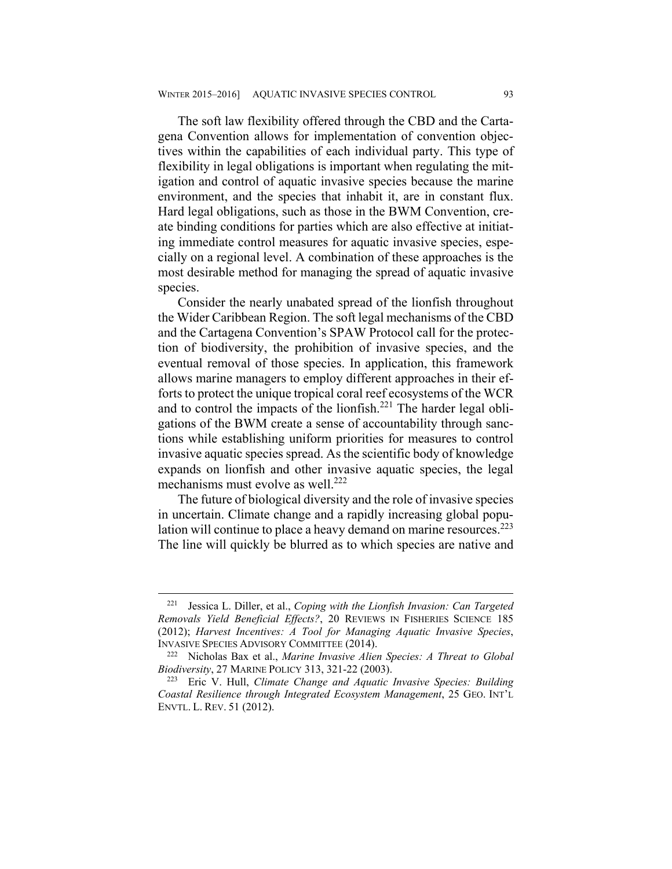The soft law flexibility offered through the CBD and the Cartagena Convention allows for implementation of convention objectives within the capabilities of each individual party. This type of flexibility in legal obligations is important when regulating the mitigation and control of aquatic invasive species because the marine environment, and the species that inhabit it, are in constant flux. Hard legal obligations, such as those in the BWM Convention, create binding conditions for parties which are also effective at initiating immediate control measures for aquatic invasive species, especially on a regional level. A combination of these approaches is the most desirable method for managing the spread of aquatic invasive species.

Consider the nearly unabated spread of the lionfish throughout the Wider Caribbean Region. The soft legal mechanisms of the CBD and the Cartagena Convention's SPAW Protocol call for the protection of biodiversity, the prohibition of invasive species, and the eventual removal of those species. In application, this framework allows marine managers to employ different approaches in their efforts to protect the unique tropical coral reef ecosystems of the WCR and to control the impacts of the lionfish.<sup>221</sup> The harder legal obligations of the BWM create a sense of accountability through sanctions while establishing uniform priorities for measures to control invasive aquatic species spread. As the scientific body of knowledge expands on lionfish and other invasive aquatic species, the legal mechanisms must evolve as well.<sup>222</sup>

The future of biological diversity and the role of invasive species in uncertain. Climate change and a rapidly increasing global population will continue to place a heavy demand on marine resources.<sup>223</sup> The line will quickly be blurred as to which species are native and

<sup>221</sup> Jessica L. Diller, et al., *Coping with the Lionfish Invasion: Can Targeted Removals Yield Beneficial Effects?*, 20 REVIEWS IN FISHERIES SCIENCE 185 (2012); *Harvest Incentives: A Tool for Managing Aquatic Invasive Species*, INVASIVE SPECIES ADVISORY COMMITTEE (2014). 222 Nicholas Bax et al., *Marine Invasive Alien Species: A Threat to Global* 

*Biodiversity*, 27 MARINE POLICY 313, 321-22 (2003). 223 Eric V. Hull, *Climate Change and Aquatic Invasive Species: Building* 

*Coastal Resilience through Integrated Ecosystem Management*, 25 GEO. INT'L ENVTL. L. REV. 51 (2012).